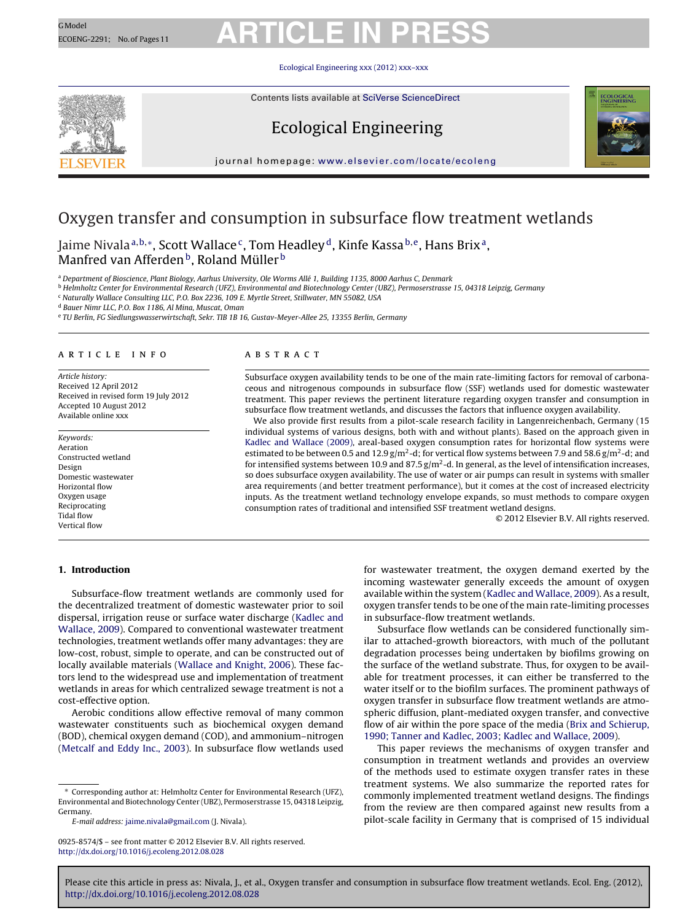#### Ecological Engineering [xxx \(2012\) xxx–xxx](dx.doi.org/10.1016/j.ecoleng.2012.08.028)

Contents lists available at SciVerse [ScienceDirect](http://www.sciencedirect.com/science/journal/09258574)







journal homepage: [www.elsevier.com/locate/ecoleng](http://www.elsevier.com/locate/ecoleng)

### Oxygen transfer and consumption in subsurface flow treatment wetlands

Jaime Nivala<sup>a,b,∗</sup>, Scott Wallace<sup>c</sup>, Tom Headley<sup>d</sup>, Kinfe Kassa<sup>b,e</sup>, Hans Brix<sup>a</sup>, Manfred van Afferden<sup>b</sup>, Roland Müller<sup>b</sup>

<sup>a</sup> Department of Bioscience, Plant Biology, Aarhus University, Ole Worms Allé 1, Building 1135, 8000 Aarhus C, Denmark

<sup>b</sup> Helmholtz Center for Environmental Research (UFZ), Environmental and Biotechnology Center (UBZ), Permoserstrasse 15, 04318 Leipzig, Germany

<sup>c</sup> Naturally Wallace Consulting LLC, P.O. Box 2236, 109 E. Myrtle Street, Stillwater, MN 55082, USA

<sup>d</sup> Bauer Nimr LLC, P.O. Box 1186, Al Mina, Muscat, Oman

<sup>e</sup> TU Berlin, FG Siedlungswasserwirtschaft, Sekr. TIB 1B 16, Gustav-Meyer-Allee 25, 13355 Berlin, Germany

### a r t i c l e i n f o

Article history: Received 12 April 2012 Received in revised form 19 July 2012 Accepted 10 August 2012 Available online xxx

Keywords: Aeration Constructed wetland Design Domestic wastewater Horizontal flow Oxygen usage Reciprocating Tidal flow Vertical flow

### A B S T R A C T

Subsurface oxygen availability tends to be one of the main rate-limiting factors for removal of carbonaceous and nitrogenous compounds in subsurface flow (SSF) wetlands used for domestic wastewater treatment. This paper reviews the pertinent literature regarding oxygen transfer and consumption in subsurface flow treatment wetlands, and discusses the factors that influence oxygen availability.

We also provide first results from a pilot-scale research facility in Langenreichenbach, Germany (15 individual systems of various designs, both with and without plants). Based on the approach given in [Kadlec](#page-9-0) [and](#page-9-0) [Wallace](#page-9-0) [\(2009\),](#page-9-0) areal-based oxygen consumption rates for horizontal flow systems were estimated to be between 0.5 and 12.9  $g/m^2$ -d; for vertical flow systems between 7.9 and 58.6  $g/m^2$ -d; and for intensified systems between 10.9 and 87.5  $g/m^2$ -d. In general, as the level of intensification increases, so does subsurface oxygen availability. The use of water or air pumps can result in systems with smaller area requirements (and better treatment performance), but it comes at the cost of increased electricity inputs. As the treatment wetland technology envelope expands, so must methods to compare oxygen consumption rates of traditional and intensified SSF treatment wetland designs.

© 2012 Elsevier B.V. All rights reserved.

### **1. Introduction**

Subsurface-flow treatment wetlands are commonly used for the decentralized treatment of domestic wastewater prior to soil dispersal, irrigation reuse or surface water discharge [\(Kadlec](#page-9-0) [and](#page-9-0) [Wallace,](#page-9-0) [2009\).](#page-9-0) Compared to conventional wastewater treatment technologies, treatment wetlands offer many advantages: they are low-cost, robust, simple to operate, and can be constructed out of locally available materials [\(Wallace](#page-10-0) [and](#page-10-0) [Knight,](#page-10-0) [2006\).](#page-10-0) These factors lend to the widespread use and implementation of treatment wetlands in areas for which centralized sewage treatment is not a cost-effective option.

Aerobic conditions allow effective removal of many common wastewater constituents such as biochemical oxygen demand (BOD), chemical oxygen demand (COD), and ammonium–nitrogen ([Metcalf](#page-9-0) [and](#page-9-0) [Eddy](#page-9-0) [Inc.,](#page-9-0) [2003\).](#page-9-0) In subsurface flow wetlands used

E-mail address: [jaime.nivala@gmail.com](mailto:jaime.nivala@gmail.com) (J. Nivala).

for wastewater treatment, the oxygen demand exerted by the incoming wastewater generally exceeds the amount of oxygen available within the system ([Kadlec](#page-9-0) [and](#page-9-0) [Wallace,](#page-9-0) [2009\).](#page-9-0) As a result, oxygen transfer tends to be one of the main rate-limiting processes in subsurface-flow treatment wetlands.

Subsurface flow wetlands can be considered functionally similar to attached-growth bioreactors, with much of the pollutant degradation processes being undertaken by biofilms growing on the surface of the wetland substrate. Thus, for oxygen to be available for treatment processes, it can either be transferred to the water itself or to the biofilm surfaces. The prominent pathways of oxygen transfer in subsurface flow treatment wetlands are atmospheric diffusion, plant-mediated oxygen transfer, and convective flow of air within the pore space of the media ([Brix](#page-8-0) [and](#page-8-0) [Schierup,](#page-8-0) [1990;](#page-8-0) [Tanner](#page-8-0) [and](#page-8-0) [Kadlec,](#page-8-0) [2003;](#page-8-0) [Kadlec](#page-8-0) [and](#page-8-0) [Wallace,](#page-8-0) [2009\).](#page-8-0)

This paper reviews the mechanisms of oxygen transfer and consumption in treatment wetlands and provides an overview of the methods used to estimate oxygen transfer rates in these treatment systems. We also summarize the reported rates for commonly implemented treatment wetland designs. The findings from the review are then compared against new results from a pilot-scale facility in Germany that is comprised of 15 individual

<sup>∗</sup> Corresponding author at: Helmholtz Center for Environmental Research (UFZ), Environmental and Biotechnology Center (UBZ), Permoserstrasse 15, 04318 Leipzig, Germany.

<sup>0925-8574/\$</sup> – see front matter © 2012 Elsevier B.V. All rights reserved. [http://dx.doi.org/10.1016/j.ecoleng.2012.08.028](dx.doi.org/10.1016/j.ecoleng.2012.08.028)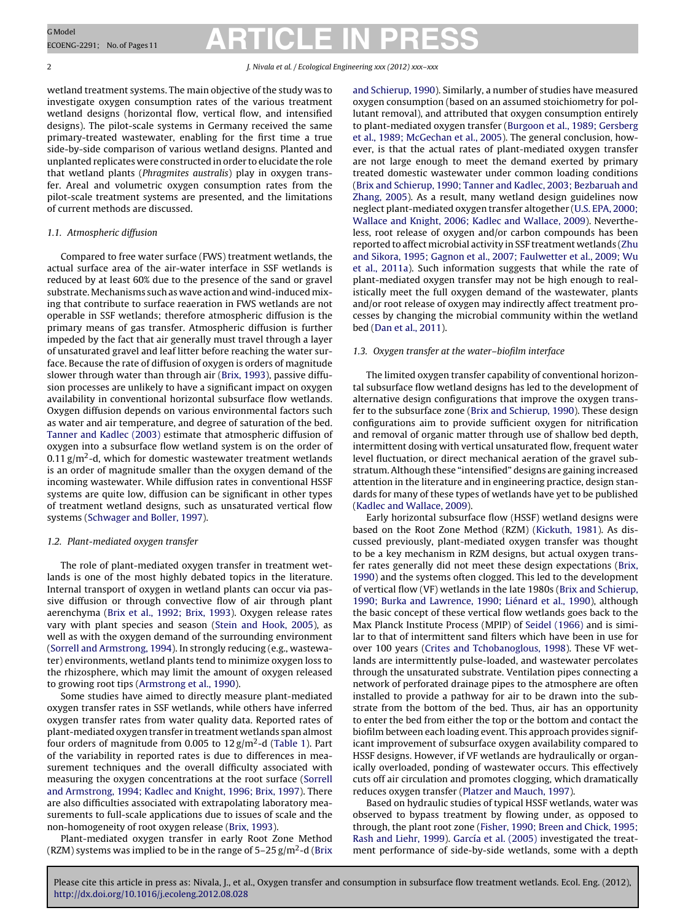2 J. Nivala et al. / Ecological Engineering *xxx (2012) xxx–xxx*

wetland treatment systems. The main objective of the study was to investigate oxygen consumption rates of the various treatment wetland designs (horizontal flow, vertical flow, and intensified designs). The pilot-scale systems in Germany received the same primary-treated wastewater, enabling for the first time a true side-by-side comparison of various wetland designs. Planted and unplanted replicates were constructed in order to elucidate the role that wetland plants (Phragmites australis) play in oxygen transfer. Areal and volumetric oxygen consumption rates from the pilot-scale treatment systems are presented, and the limitations of current methods are discussed.

### 1.1. Atmospheric diffusion

Compared to free water surface (FWS) treatment wetlands, the actual surface area of the air-water interface in SSF wetlands is reduced by at least 60% due to the presence of the sand or gravel substrate. Mechanisms such as wave action and wind-induced mixing that contribute to surface reaeration in FWS wetlands are not operable in SSF wetlands; therefore atmospheric diffusion is the primary means of gas transfer. Atmospheric diffusion is further impeded by the fact that air generally must travel through a layer of unsaturated gravel and leaf litter before reaching the water surface. Because the rate of diffusion of oxygen is orders of magnitude slower through water than through air [\(Brix,](#page-8-0) [1993\),](#page-8-0) passive diffusion processes are unlikely to have a significant impact on oxygen availability in conventional horizontal subsurface flow wetlands. Oxygen diffusion depends on various environmental factors such as water and air temperature, and degree of saturation of the bed. [Tanner](#page-9-0) [and](#page-9-0) [Kadlec](#page-9-0) [\(2003\)](#page-9-0) estimate that atmospheric diffusion of oxygen into a subsurface flow wetland system is on the order of 0.11  $\rm g/m^2$ -d, which for domestic wastewater treatment wetlands is an order of magnitude smaller than the oxygen demand of the incoming wastewater. While diffusion rates in conventional HSSF systems are quite low, diffusion can be significant in other types of treatment wetland designs, such as unsaturated vertical flow systems ([Schwager](#page-9-0) [and](#page-9-0) [Boller,](#page-9-0) [1997\).](#page-9-0)

### 1.2. Plant-mediated oxygen transfer

The role of plant-mediated oxygen transfer in treatment wetlands is one of the most highly debated topics in the literature. Internal transport of oxygen in wetland plants can occur via passive diffusion or through convective flow of air through plant aerenchyma [\(Brix](#page-8-0) et [al.,](#page-8-0) [1992;](#page-8-0) [Brix,](#page-8-0) [1993\).](#page-8-0) Oxygen release rates vary with plant species and season ([Stein](#page-9-0) [and](#page-9-0) [Hook,](#page-9-0) [2005\),](#page-9-0) as well as with the oxygen demand of the surrounding environment ([Sorrell](#page-9-0) [and](#page-9-0) [Armstrong,](#page-9-0) [1994\).](#page-9-0) In strongly reducing (e.g., wastewater) environments, wetland plants tend to minimize oxygen loss to the rhizosphere, which may limit the amount of oxygen released to growing root tips ([Armstrong](#page-8-0) et [al.,](#page-8-0) [1990\).](#page-8-0)

Some studies have aimed to directly measure plant-mediated oxygen transfer rates in SSF wetlands, while others have inferred oxygen transfer rates from water quality data. Reported rates of plant-mediated oxygen transfer in treatment wetlands span almost four orders of magnitude from 0.005 to  $12 \text{ g/m}^2$ -d ([Table](#page-2-0) 1). Part of the variability in reported rates is due to differences in measurement techniques and the overall difficulty associated with measuring the oxygen concentrations at the root surface ([Sorrell](#page-9-0) [and](#page-9-0) [Armstrong,](#page-9-0) [1994;](#page-9-0) [Kadlec](#page-9-0) [and](#page-9-0) [Knight,](#page-9-0) [1996;](#page-9-0) [Brix,](#page-9-0) [1997\).](#page-9-0) There are also difficulties associated with extrapolating laboratory measurements to full-scale applications due to issues of scale and the non-homogeneity of root oxygen release ([Brix,](#page-8-0) [1993\).](#page-8-0)

Plant-mediated oxygen transfer in early Root Zone Method (RZM) systems was implied to be in the range of  $5-25$  g/m<sup>2</sup>-d [\(Brix](#page-8-0)) [and](#page-8-0) [Schierup,](#page-8-0) [1990\).](#page-8-0) Similarly, a number of studies have measured oxygen consumption (based on an assumed stoichiometry for pollutant removal), and attributed that oxygen consumption entirely to plant-mediated oxygen transfer [\(Burgoon](#page-8-0) et [al.,](#page-8-0) [1989;](#page-8-0) [Gersberg](#page-8-0) et [al.,](#page-8-0) [1989;](#page-8-0) [McGechan](#page-8-0) et [al.,](#page-8-0) [2005\).](#page-8-0) The general conclusion, however, is that the actual rates of plant-mediated oxygen transfer are not large enough to meet the demand exerted by primary treated domestic wastewater under common loading conditions ([Brix](#page-8-0) [and](#page-8-0) [Schierup,](#page-8-0) [1990;](#page-8-0) [Tanner](#page-8-0) [and](#page-8-0) [Kadlec,](#page-8-0) [2003;](#page-8-0) [Bezbaruah](#page-8-0) [and](#page-8-0) [Zhang,](#page-8-0) [2005\).](#page-8-0) As a result, many wetland design guidelines now neglect plant-mediated oxygen transfer altogether ([U.S.](#page-10-0) [EPA,](#page-10-0) [2000;](#page-10-0) [Wallace](#page-10-0) [and](#page-10-0) [Knight,](#page-10-0) [2006;](#page-10-0) [Kadlec](#page-10-0) [and](#page-10-0) [Wallace,](#page-10-0) [2009\).](#page-10-0) Nevertheless, root release of oxygen and/or carbon compounds has been reported to affect microbial activity in SSF treatment wetlands [\(Zhu](#page-10-0) [and](#page-10-0) [Sikora,](#page-10-0) [1995;](#page-10-0) [Gagnon](#page-10-0) et [al.,](#page-10-0) [2007;](#page-10-0) [Faulwetter](#page-10-0) et [al.,](#page-10-0) [2009;](#page-10-0) [Wu](#page-10-0) et [al.,](#page-10-0) [2011a\).](#page-10-0) Such information suggests that while the rate of plant-mediated oxygen transfer may not be high enough to realistically meet the full oxygen demand of the wastewater, plants and/or root release of oxygen may indirectly affect treatment processes by changing the microbial community within the wetland bed [\(Dan](#page-8-0) et [al.,](#page-8-0) [2011\).](#page-8-0)

### 1.3. Oxygen transfer at the water–biofilm interface

The limited oxygen transfer capability of conventional horizontal subsurface flow wetland designs has led to the development of alternative design configurations that improve the oxygen transfer to the subsurface zone ([Brix](#page-8-0) [and](#page-8-0) [Schierup,](#page-8-0) [1990\).](#page-8-0) These design configurations aim to provide sufficient oxygen for nitrification and removal of organic matter through use of shallow bed depth, intermittent dosing with vertical unsaturated flow, frequent water level fluctuation, or direct mechanical aeration of the gravel substratum. Although these "intensified" designs are gaining increased attention in the literature and in engineering practice, design standards for many of these types of wetlands have yet to be published ([Kadlec](#page-9-0) [and](#page-9-0) [Wallace,](#page-9-0) [2009\).](#page-9-0)

Early horizontal subsurface flow (HSSF) wetland designs were based on the Root Zone Method (RZM) [\(Kickuth,](#page-9-0) [1981\).](#page-9-0) As discussed previously, plant-mediated oxygen transfer was thought to be a key mechanism in RZM designs, but actual oxygen transfer rates generally did not meet these design expectations ([Brix,](#page-8-0) [1990\)](#page-8-0) and the systems often clogged. This led to the development of vertical flow (VF) wetlands in the late 1980s ([Brix](#page-8-0) [and](#page-8-0) [Schierup,](#page-8-0) [1990;](#page-8-0) [Burka](#page-8-0) [and](#page-8-0) [Lawrence,](#page-8-0) [1990;](#page-8-0) [Liénard](#page-8-0) et [al.,](#page-8-0) [1990\),](#page-8-0) although the basic concept of these vertical flow wetlands goes back to the Max Planck Institute Process (MPIP) of [Seidel](#page-9-0) [\(1966\)](#page-9-0) and is similar to that of intermittent sand filters which have been in use for over 100 years [\(Crites](#page-8-0) [and](#page-8-0) [Tchobanoglous,](#page-8-0) [1998\).](#page-8-0) These VF wetlands are intermittently pulse-loaded, and wastewater percolates through the unsaturated substrate. Ventilation pipes connecting a network of perforated drainage pipes to the atmosphere are often installed to provide a pathway for air to be drawn into the substrate from the bottom of the bed. Thus, air has an opportunity to enter the bed from either the top or the bottom and contact the biofilm between each loading event. This approach provides significant improvement of subsurface oxygen availability compared to HSSF designs. However, if VF wetlands are hydraulically or organically overloaded, ponding of wastewater occurs. This effectively cuts off air circulation and promotes clogging, which dramatically reduces oxygen transfer ([Platzer](#page-9-0) [and](#page-9-0) [Mauch,](#page-9-0) [1997\).](#page-9-0)

Based on hydraulic studies of typical HSSF wetlands, water was observed to bypass treatment by flowing under, as opposed to through, the plant root zone [\(Fisher,](#page-8-0) [1990;](#page-8-0) [Breen](#page-8-0) [and](#page-8-0) [Chick,](#page-8-0) [1995;](#page-8-0) [Rash](#page-8-0) [and](#page-8-0) [Liehr,](#page-8-0) [1999\).](#page-8-0) [García](#page-8-0) et [al.](#page-8-0) [\(2005\)](#page-8-0) investigated the treatment performance of side-by-side wetlands, some with a depth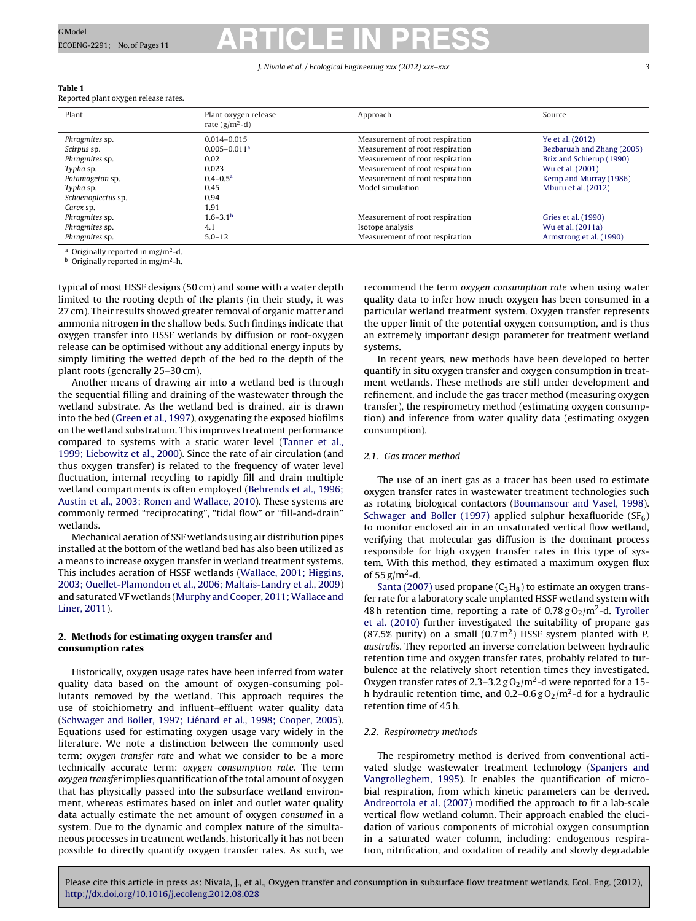#### J. Nivala et al. / Ecological Engineering *xxx (2012) xxx–xxx* 3

| Table T                              |  |  |
|--------------------------------------|--|--|
| Reported plant oxygen release rates. |  |  |

<span id="page-2-0"></span>**Table 1**

| Plant              | Plant oxygen release<br>rate $(g/m^2-d)$ | Approach                        | Source                     |
|--------------------|------------------------------------------|---------------------------------|----------------------------|
| Phragmites sp.     | $0.014 - 0.015$                          | Measurement of root respiration | Ye et al. (2012)           |
| Scirpus sp.        | $0.005 - 0.011a$                         | Measurement of root respiration | Bezbaruah and Zhang (2005) |
| Phragmites sp.     | 0.02                                     | Measurement of root respiration | Brix and Schierup (1990)   |
| Typha sp.          | 0.023                                    | Measurement of root respiration | Wu et al. (2001)           |
| Potamogeton sp.    | $0.4 - 0.5^a$                            | Measurement of root respiration | Kemp and Murray (1986)     |
| Typha sp.          | 0.45                                     | Model simulation                | Mburu et al. (2012)        |
| Schoenoplectus sp. | 0.94                                     |                                 |                            |
| Carex sp.          | 1.91                                     |                                 |                            |
| Phragmites sp.     | $1.6 - 3.1b$                             | Measurement of root respiration | Gries et al. (1990)        |
| Phragmites sp.     | 4.1                                      | Isotope analysis                | Wu et al. (2011a)          |
| Phragmites sp.     | $5.0 - 12$                               | Measurement of root respiration | Armstrong et al. (1990)    |

<sup>a</sup> Originally reported in mg/m2-d.

 $<sup>b</sup>$  Originally reported in mg/m<sup>2</sup>-h.</sup>

typical of most HSSF designs (50 cm) and some with a water depth limited to the rooting depth of the plants (in their study, it was 27 cm). Their results showed greater removal of organic matter and ammonia nitrogen in the shallow beds. Such findings indicate that oxygen transfer into HSSF wetlands by diffusion or root-oxygen release can be optimised without any additional energy inputs by simply limiting the wetted depth of the bed to the depth of the plant roots (generally 25–30 cm).

Another means of drawing air into a wetland bed is through the sequential filling and draining of the wastewater through the wetland substrate. As the wetland bed is drained, air is drawn into the bed [\(Green](#page-8-0) et [al.,](#page-8-0) [1997\),](#page-8-0) oxygenating the exposed biofilms on the wetland substratum. This improves treatment performance compared to systems with a static water level [\(Tanner](#page-9-0) et [al.,](#page-9-0) [1999;](#page-9-0) [Liebowitz](#page-9-0) et [al.,](#page-9-0) [2000\).](#page-9-0) Since the rate of air circulation (and thus oxygen transfer) is related to the frequency of water level fluctuation, internal recycling to rapidly fill and drain multiple wetland compartments is often employed [\(Behrends](#page-8-0) et [al.,](#page-8-0) [1996;](#page-8-0) [Austin](#page-8-0) et [al.,](#page-8-0) [2003;](#page-8-0) [Ronen](#page-8-0) [and](#page-8-0) [Wallace,](#page-8-0) [2010\).](#page-8-0) These systems are commonly termed "reciprocating", "tidal flow" or "fill-and-drain" wetlands.

Mechanical aeration of SSF wetlands using air distribution pipes installed at the bottom of the wetland bed has also been utilized as a means to increase oxygen transfer in wetland treatment systems. This includes aeration of HSSF wetlands [\(Wallace,](#page-10-0) [2001;](#page-10-0) [Higgins,](#page-10-0) [2003;](#page-10-0) [Ouellet-Plamondon](#page-10-0) et [al.,](#page-10-0) [2006;](#page-10-0) [Maltais-Landry](#page-10-0) et [al.,](#page-10-0) [2009\)](#page-10-0) and saturated VF wetlands [\(Murphy](#page-9-0) [and](#page-9-0) [Cooper,](#page-9-0) 2011; Wallace and [Liner,](#page-9-0) [2011\).](#page-9-0)

### **2. Methods for estimating oxygen transfer and consumption rates**

Historically, oxygen usage rates have been inferred from water quality data based on the amount of oxygen-consuming pollutants removed by the wetland. This approach requires the use of stoichiometry and influent–effluent water quality data ([Schwager](#page-9-0) [and](#page-9-0) [Boller,](#page-9-0) [1997;](#page-9-0) [Liénard](#page-9-0) et [al.,](#page-9-0) [1998;](#page-9-0) [Cooper,](#page-9-0) [2005\).](#page-9-0) Equations used for estimating oxygen usage vary widely in the literature. We note a distinction between the commonly used term: oxygen transfer rate and what we consider to be a more technically accurate term: oxygen consumption rate. The term oxygen transfer implies quantification of the total amount of oxygen that has physically passed into the subsurface wetland environment, whereas estimates based on inlet and outlet water quality data actually estimate the net amount of oxygen consumed in a system. Due to the dynamic and complex nature of the simultaneous processes in treatment wetlands, historically it has not been possible to directly quantify oxygen transfer rates. As such, we recommend the term oxygen consumption rate when using water quality data to infer how much oxygen has been consumed in a particular wetland treatment system. Oxygen transfer represents the upper limit of the potential oxygen consumption, and is thus an extremely important design parameter for treatment wetland systems.

In recent years, new methods have been developed to better quantify in situ oxygen transfer and oxygen consumption in treatment wetlands. These methods are still under development and refinement, and include the gas tracer method (measuring oxygen transfer), the respirometry method (estimating oxygen consumption) and inference from water quality data (estimating oxygen consumption).

### 2.1. Gas tracer method

The use of an inert gas as a tracer has been used to estimate oxygen transfer rates in wastewater treatment technologies such as rotating biological contactors ([Boumansour](#page-8-0) [and](#page-8-0) [Vasel,](#page-8-0) [1998\).](#page-8-0) [Schwager](#page-9-0) [and](#page-9-0) [Boller](#page-9-0) [\(1997\)](#page-9-0) applied sulphur hexafluoride  $(SF_6)$ to monitor enclosed air in an unsaturated vertical flow wetland, verifying that molecular gas diffusion is the dominant process responsible for high oxygen transfer rates in this type of system. With this method, they estimated a maximum oxygen flux of  $55$  g/m<sup>2</sup>-d.

[Santa](#page-9-0) [\(2007\)](#page-9-0) used propane  $(C_3H_8)$  to estimate an oxygen transfer rate for a laboratory scale unplanted HSSF wetland system with 48 h retention time, reporting a rate of  $0.78 g O<sub>2</sub>/m<sup>2</sup>$ -d. [Tyroller](#page-9-0) et [al.](#page-9-0) [\(2010\)](#page-9-0) further investigated the suitability of propane gas (87.5% purity) on a small (0.7  $m<sup>2</sup>$ ) HSSF system planted with P. australis. They reported an inverse correlation between hydraulic retention time and oxygen transfer rates, probably related to turbulence at the relatively short retention times they investigated. Oxygen transfer rates of 2.3–3.2  $gO<sub>2</sub>/m<sup>2</sup>$ -d were reported for a 15h hydraulic retention time, and  $0.2$ – $0.6 g O<sub>2</sub>/m<sup>2</sup>$ –d for a hydraulic retention time of 45 h.

### 2.2. Respirometry methods

The respirometry method is derived from conventional activated sludge wastewater treatment technology [\(Spanjers](#page-9-0) [and](#page-9-0) [Vangrolleghem,](#page-9-0) [1995\).](#page-9-0) It enables the quantification of microbial respiration, from which kinetic parameters can be derived. [Andreottola](#page-8-0) et [al.](#page-8-0) [\(2007\)](#page-8-0) modified the approach to fit a lab-scale vertical flow wetland column. Their approach enabled the elucidation of various components of microbial oxygen consumption in a saturated water column, including: endogenous respiration, nitrification, and oxidation of readily and slowly degradable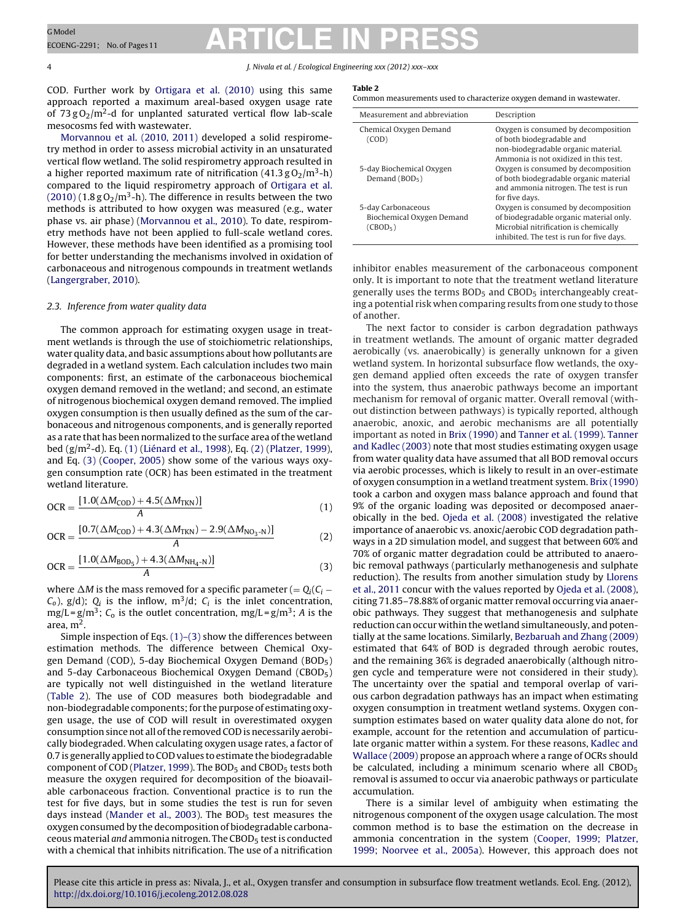4 J. Nivala et al. / Ecological Engineering *xxx (2012) xxx–xxx*

COD. Further work by [Ortigara](#page-9-0) et [al.](#page-9-0) [\(2010\)](#page-9-0) using this same approach reported a maximum areal-based oxygen usage rate of  $73$  gO<sub>2</sub>/m<sup>2</sup>-d for unplanted saturated vertical flow lab-scale mesocosms fed with wastewater.

[Morvannou](#page-9-0) et [al.](#page-9-0) [\(2010,](#page-9-0) [2011\)](#page-9-0) developed a solid respirometry method in order to assess microbial activity in an unsaturated vertical flow wetland. The solid respirometry approach resulted in a higher reported maximum rate of nitrification  $(41.3 \text{ g O}_2/\text{m}^3 \text{-h})$ compared to the liquid respirometry approach of [Ortigara](#page-9-0) et [al.](#page-9-0)  $(2010)$  (1.8 g O<sub>2</sub>/m<sup>3</sup>-h). The difference in results between the two methods is attributed to how oxygen was measured (e.g., water phase vs. air phase) ([Morvannou](#page-9-0) et [al.,](#page-9-0) [2010\).](#page-9-0) To date, respirometry methods have not been applied to full-scale wetland cores. However, these methods have been identified as a promising tool for better understanding the mechanisms involved in oxidation of carbonaceous and nitrogenous compounds in treatment wetlands ([Langergraber,](#page-9-0) [2010\).](#page-9-0)

### 2.3. Inference from water quality data

The common approach for estimating oxygen usage in treatment wetlands is through the use of stoichiometric relationships, water quality data, and basic assumptions about how pollutants are degraded in a wetland system. Each calculation includes two main components: first, an estimate of the carbonaceous biochemical oxygen demand removed in the wetland; and second, an estimate of nitrogenous biochemical oxygen demand removed. The implied oxygen consumption is then usually defined as the sum of the carbonaceous and nitrogenous components, and is generally reported as a rate that has been normalized to the surface area of the wetland bed (g/m2-d). Eq. (1) ([Liénard](#page-9-0) et [al.,](#page-9-0) [1998\),](#page-9-0) Eq. (2) ([Platzer,](#page-9-0) [1999\),](#page-9-0) and Eq. (3) ([Cooper,](#page-8-0) [2005\)](#page-8-0) show some of the various ways oxygen consumption rate (OCR) has been estimated in the treatment wetland literature.

$$
OCR = \frac{[1.0(\Delta M_{\rm COD}) + 4.5(\Delta M_{\rm TKN})]}{A}
$$
 (1)

$$
OCR = \frac{[0.7(\Delta M_{\text{COD}}) + 4.3(\Delta M_{\text{TKN}}) - 2.9(\Delta M_{\text{NO}_3 - \text{N}})]}{A}
$$
(2)

$$
OCR = \frac{[1.0(\Delta M_{BOD_5}) + 4.3(\Delta M_{NH_4-N})]}{A}
$$
(3)

where  $\Delta M$  is the mass removed for a specific parameter (=  $Q_i(C_i C_0$ ),  $g/d$ );  $Q_i$  is the inflow,  $m^3/d$ ;  $C_i$  is the inlet concentration,  $mg/L = g/m<sup>3</sup>$ ; C<sub>o</sub> is the outlet concentration, mg/L =  $g/m<sup>3</sup>$ ; A is the area,  $m<sup>2</sup>$ .

Simple inspection of Eqs. (1)–(3) show the differences between estimation methods. The difference between Chemical Oxygen Demand (COD), 5-day Biochemical Oxygen Demand (BOD5) and 5-day Carbonaceous Biochemical Oxygen Demand (CBOD<sub>5</sub>) are typically not well distinguished in the wetland literature (Table 2). The use of COD measures both biodegradable and non-biodegradable components; for the purpose of estimating oxygen usage, the use of COD will result in overestimated oxygen consumption since not all of the removed COD is necessarily aerobically biodegraded. When calculating oxygen usage rates, a factor of 0.7 is generally applied to COD values to estimate the biodegradable component of COD ([Platzer,](#page-9-0) [1999\).](#page-9-0) The BOD<sub>5</sub> and CBOD<sub>5</sub> tests both measure the oxygen required for decomposition of the bioavailable carbonaceous fraction. Conventional practice is to run the test for five days, but in some studies the test is run for seven days instead ([Mander](#page-9-0) et [al.,](#page-9-0) [2003\).](#page-9-0) The  $BOD<sub>5</sub>$  test measures the oxygen consumed by the decomposition of biodegradable carbonaceous material and ammonia nitrogen. The CBOD5 testis conducted with a chemical that inhibits nitrification. The use of a nitrification

#### **Table 2**

Common measurements used to characterize oxygen demand in wastewater.

| Measurement and abbreviation                                            | Description                                                                                                                                                          |
|-------------------------------------------------------------------------|----------------------------------------------------------------------------------------------------------------------------------------------------------------------|
| Chemical Oxygen Demand<br>(COD)                                         | Oxygen is consumed by decomposition<br>of both biodegradable and<br>non-biodegradable organic material.<br>Ammonia is not oxidized in this test.                     |
| 5-day Biochemical Oxygen<br>Demand $(BOD5)$                             | Oxygen is consumed by decomposition<br>of both biodegradable organic material<br>and ammonia nitrogen. The test is run<br>for five days.                             |
| 5-day Carbonaceous<br>Biochemical Oxygen Demand<br>(CBOD <sub>5</sub> ) | Oxygen is consumed by decomposition<br>of biodegradable organic material only.<br>Microbial nitrification is chemically<br>inhibited. The test is run for five days. |

inhibitor enables measurement of the carbonaceous component only. It is important to note that the treatment wetland literature generally uses the terms  $BOD<sub>5</sub>$  and  $CBOD<sub>5</sub>$  interchangeably creating a potential risk when comparing results from one study to those of another.

The next factor to consider is carbon degradation pathways in treatment wetlands. The amount of organic matter degraded aerobically (vs. anaerobically) is generally unknown for a given wetland system. In horizontal subsurface flow wetlands, the oxygen demand applied often exceeds the rate of oxygen transfer into the system, thus anaerobic pathways become an important mechanism for removal of organic matter. Overall removal (without distinction between pathways) is typically reported, although anaerobic, anoxic, and aerobic mechanisms are all potentially important as noted in [Brix](#page-8-0) [\(1990\)](#page-8-0) and [Tanner](#page-9-0) et [al.](#page-9-0) [\(1999\).](#page-9-0) [Tanner](#page-9-0) [and](#page-9-0) [Kadlec](#page-9-0) [\(2003\)](#page-9-0) note that most studies estimating oxygen usage from water quality data have assumed that all BOD removal occurs via aerobic processes, which is likely to result in an over-estimate of oxygen consumption in a wetland treatment system. [Brix](#page-8-0) [\(1990\)](#page-8-0) took a carbon and oxygen mass balance approach and found that 9% of the organic loading was deposited or decomposed anaerobically in the bed. [Ojeda](#page-9-0) et [al.](#page-9-0) [\(2008\)](#page-9-0) investigated the relative importance of anaerobic vs. anoxic/aerobic COD degradation pathways in a 2D simulation model, and suggest that between 60% and 70% of organic matter degradation could be attributed to anaerobic removal pathways (particularly methanogenesis and sulphate reduction). The results from another simulation study by [Llorens](#page-9-0) et [al.,](#page-9-0) [2011](#page-9-0) concur with the values reported by [Ojeda](#page-9-0) et [al.](#page-9-0) [\(2008\),](#page-9-0) citing 71.85–78.88% of organic matter removal occurring via anaerobic pathways. They suggest that methanogenesis and sulphate reduction can occur within the wetland simultaneously, and potentially at the same locations. Similarly, [Bezbaruah](#page-8-0) [and](#page-8-0) [Zhang](#page-8-0) [\(2009\)](#page-8-0) estimated that 64% of BOD is degraded through aerobic routes, and the remaining 36% is degraded anaerobically (although nitrogen cycle and temperature were not considered in their study). The uncertainty over the spatial and temporal overlap of various carbon degradation pathways has an impact when estimating oxygen consumption in treatment wetland systems. Oxygen consumption estimates based on water quality data alone do not, for example, account for the retention and accumulation of particulate organic matter within a system. For these reasons, [Kadlec](#page-9-0) [and](#page-9-0) [Wallace](#page-9-0) [\(2009\)](#page-9-0) propose an approach where a range of OCRs should be calculated, including a minimum scenario where all  $CBOD<sub>5</sub>$ removal is assumed to occur via anaerobic pathways or particulate accumulation.

There is a similar level of ambiguity when estimating the nitrogenous component of the oxygen usage calculation. The most common method is to base the estimation on the decrease in ammonia concentration in the system [\(Cooper,](#page-8-0) [1999;](#page-8-0) [Platzer,](#page-8-0) [1999;](#page-8-0) [Noorvee](#page-8-0) et [al.,](#page-8-0) [2005a\).](#page-8-0) However, this approach does not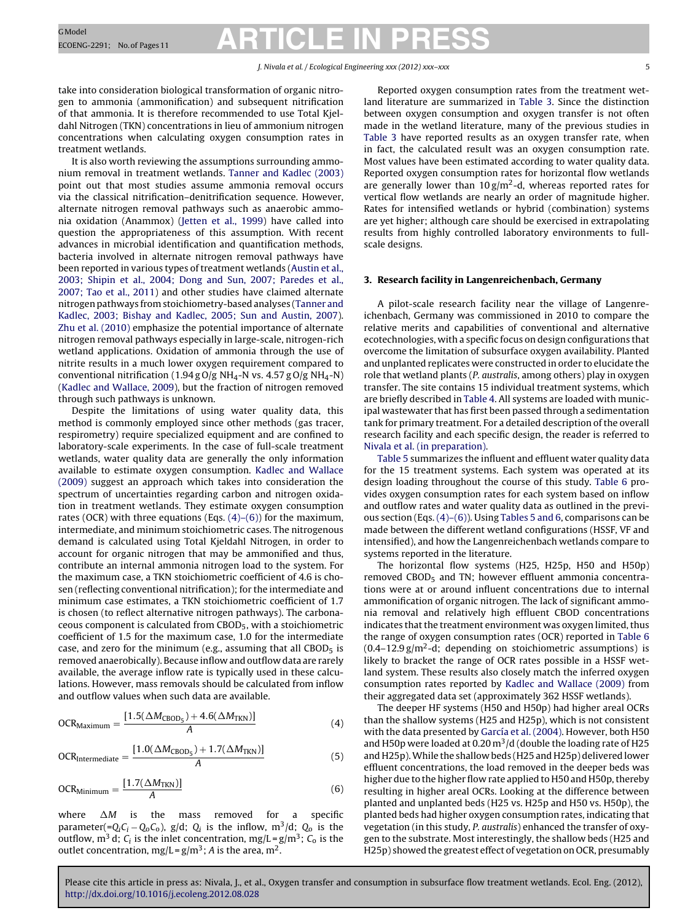<span id="page-4-0"></span>take into consideration biological transformation of organic nitrogen to ammonia (ammonification) and subsequent nitrification of that ammonia. It is therefore recommended to use Total Kjeldahl Nitrogen (TKN) concentrations in lieu of ammonium nitrogen concentrations when calculating oxygen consumption rates in treatment wetlands.

It is also worth reviewing the assumptions surrounding ammonium removal in treatment wetlands. [Tanner](#page-9-0) [and](#page-9-0) [Kadlec](#page-9-0) [\(2003\)](#page-9-0) point out that most studies assume ammonia removal occurs via the classical nitrification–denitrification sequence. However, alternate nitrogen removal pathways such as anaerobic ammonia oxidation (Anammox) [\(Jetten](#page-9-0) et [al.,](#page-9-0) [1999\)](#page-9-0) have called into question the appropriateness of this assumption. With recent advances in microbial identification and quantification methods, bacteria involved in alternate nitrogen removal pathways have been reported in various types of treatment wetlands ([Austin](#page-8-0) et [al.,](#page-8-0) [2003;](#page-8-0) [Shipin](#page-8-0) et [al.,](#page-8-0) [2004;](#page-8-0) [Dong](#page-8-0) [and](#page-8-0) [Sun,](#page-8-0) [2007;](#page-8-0) [Paredes](#page-8-0) et [al.,](#page-8-0) [2007;](#page-8-0) [Tao](#page-8-0) et [al.,](#page-8-0) [2011\)](#page-8-0) and other studies have claimed alternate nitrogen pathways from stoichiometry-based analyses ([Tanner](#page-9-0) [and](#page-9-0) [Kadlec,](#page-9-0) [2003;](#page-9-0) [Bishay](#page-9-0) [and](#page-9-0) [Kadlec,](#page-9-0) [2005;](#page-9-0) [Sun](#page-9-0) [and](#page-9-0) [Austin,](#page-9-0) [2007\).](#page-9-0) [Zhu](#page-10-0) et [al.](#page-10-0) [\(2010\)](#page-10-0) emphasize the potential importance of alternate nitrogen removal pathways especially in large-scale, nitrogen-rich wetland applications. Oxidation of ammonia through the use of nitrite results in a much lower oxygen requirement compared to conventional nitrification (1.94 g O/g NH<sub>4</sub>-N vs. 4.57 g O/g NH<sub>4</sub>-N) ([Kadlec](#page-9-0) [and](#page-9-0) [Wallace,](#page-9-0) [2009\),](#page-9-0) but the fraction of nitrogen removed through such pathways is unknown.

Despite the limitations of using water quality data, this method is commonly employed since other methods (gas tracer, respirometry) require specialized equipment and are confined to laboratory-scale experiments. In the case of full-scale treatment wetlands, water quality data are generally the only information available to estimate oxygen consumption. [Kadlec](#page-9-0) [and](#page-9-0) [Wallace](#page-9-0) [\(2009\)](#page-9-0) suggest an approach which takes into consideration the spectrum of uncertainties regarding carbon and nitrogen oxidation in treatment wetlands. They estimate oxygen consumption rates (OCR) with three equations (Eqs.  $(4)$ – $(6)$ ) for the maximum, intermediate, and minimum stoichiometric cases. The nitrogenous demand is calculated using Total Kjeldahl Nitrogen, in order to account for organic nitrogen that may be ammonified and thus, contribute an internal ammonia nitrogen load to the system. For the maximum case, a TKN stoichiometric coefficient of 4.6 is chosen (reflecting conventional nitrification); for the intermediate and minimum case estimates, a TKN stoichiometric coefficient of 1.7 is chosen (to reflect alternative nitrogen pathways). The carbonaceous component is calculated from CBOD5, with a stoichiometric coefficient of 1.5 for the maximum case, 1.0 for the intermediate case, and zero for the minimum (e.g., assuming that all  $CBOD<sub>5</sub>$  is removed anaerobically). Because inflow and outflow data are rarely available, the average inflow rate is typically used in these calculations. However, mass removals should be calculated from inflow and outflow values when such data are available.

$$
OCR_{Maximum} = \frac{[1.5(\Delta M_{CBOD_5}) + 4.6(\Delta M_{TKN})]}{A}
$$
(4)

$$
OCR_{\text{Intermediate}} = \frac{[1.0(\Delta M_{\text{CBOD}_5}) + 1.7(\Delta M_{\text{TKN}})]}{A}
$$
(5)

$$
OCRMinimum = \frac{[1.7(\Delta MTKN)]}{A}
$$
 (6)

where  $\Delta M$ is the mass removed for a specific parameter(= $Q_iC_i - Q_0C_0$ ), g/d;  $Q_i$  is the inflow, m<sup>3</sup>/d;  $Q_0$  is the outflow,  $m^3$  d;  $C_i$  is the inlet concentration,  $mg/L = g/m^3$ ;  $C_0$  is the outlet concentration,  $mg/L = g/m^3$ ; A is the area, m<sup>2</sup>.

Reported oxygen consumption rates from the treatment wetland literature are summarized in [Table](#page-5-0) 3. Since the distinction between oxygen consumption and oxygen transfer is not often made in the wetland literature, many of the previous studies in [Table](#page-5-0) 3 have reported results as an oxygen transfer rate, when in fact, the calculated result was an oxygen consumption rate. Most values have been estimated according to water quality data. Reported oxygen consumption rates for horizontal flow wetlands are generally lower than  $10 \text{ g/m}^2$ -d, whereas reported rates for vertical flow wetlands are nearly an order of magnitude higher. Rates for intensified wetlands or hybrid (combination) systems are yet higher; although care should be exercised in extrapolating results from highly controlled laboratory environments to fullscale designs.

### **3. Research facility in Langenreichenbach, Germany**

A pilot-scale research facility near the village of Langenreichenbach, Germany was commissioned in 2010 to compare the relative merits and capabilities of conventional and alternative ecotechnologies, with a specific focus on design configurations that overcome the limitation of subsurface oxygen availability. Planted and unplanted replicates were constructed in order to elucidate the role that wetland plants (P. australis, among others) play in oxygen transfer. The site contains 15 individual treatment systems, which are briefly described in [Table](#page-5-0) 4. All systems are loaded with municipal wastewater that has first been passed through a sedimentation tank for primary treatment. For a detailed description of the overall research facility and each specific design, the reader is referred to [Nivala](#page-9-0) et [al.](#page-9-0) [\(in](#page-9-0) [preparation\).](#page-9-0)

[Table](#page-6-0) 5 summarizes the influent and effluent water quality data for the 15 treatment systems. Each system was operated at its design loading throughout the course of this study. [Table](#page-7-0) 6 provides oxygen consumption rates for each system based on inflow and outflow rates and water quality data as outlined in the previous section (Eqs. (4)–(6)). Using [Tables](#page-6-0) 5 and 6, comparisons can be made between the different wetland configurations (HSSF, VF and intensified), and how the Langenreichenbach wetlands compare to systems reported in the literature.

The horizontal flow systems (H25, H25p, H50 and H50p) removed CBOD<sub>5</sub> and TN; however effluent ammonia concentrations were at or around influent concentrations due to internal ammonification of organic nitrogen. The lack of significant ammonia removal and relatively high effluent CBOD concentrations indicates that the treatment environment was oxygen limited, thus the range of oxygen consumption rates (OCR) reported in [Table](#page-7-0) 6  $(0.4-12.9 \text{ g/m}^2$ -d; depending on stoichiometric assumptions) is likely to bracket the range of OCR rates possible in a HSSF wetland system. These results also closely match the inferred oxygen consumption rates reported by [Kadlec](#page-9-0) [and](#page-9-0) [Wallace](#page-9-0) [\(2009\)](#page-9-0) from their aggregated data set (approximately 362 HSSF wetlands).

The deeper HF systems (H50 and H50p) had higher areal OCRs than the shallow systems (H25 and H25p), which is not consistent with the data presented by [García](#page-8-0) et [al.](#page-8-0) [\(2004\).](#page-8-0) However, both H50 and H50p were loaded at 0.20  $m^3/d$  (double the loading rate of H25 and H25p).While the shallow beds (H25 and H25p) delivered lower effluent concentrations, the load removed in the deeper beds was higher due to the higher flow rate applied to H50 and H50p, thereby resulting in higher areal OCRs. Looking at the difference between planted and unplanted beds (H25 vs. H25p and H50 vs. H50p), the planted beds had higher oxygen consumption rates, indicating that vegetation (in this study, P. australis) enhanced the transfer of oxygen to the substrate. Most interestingly, the shallow beds (H25 and H25p) showed the greatest effect of vegetation on OCR, presumably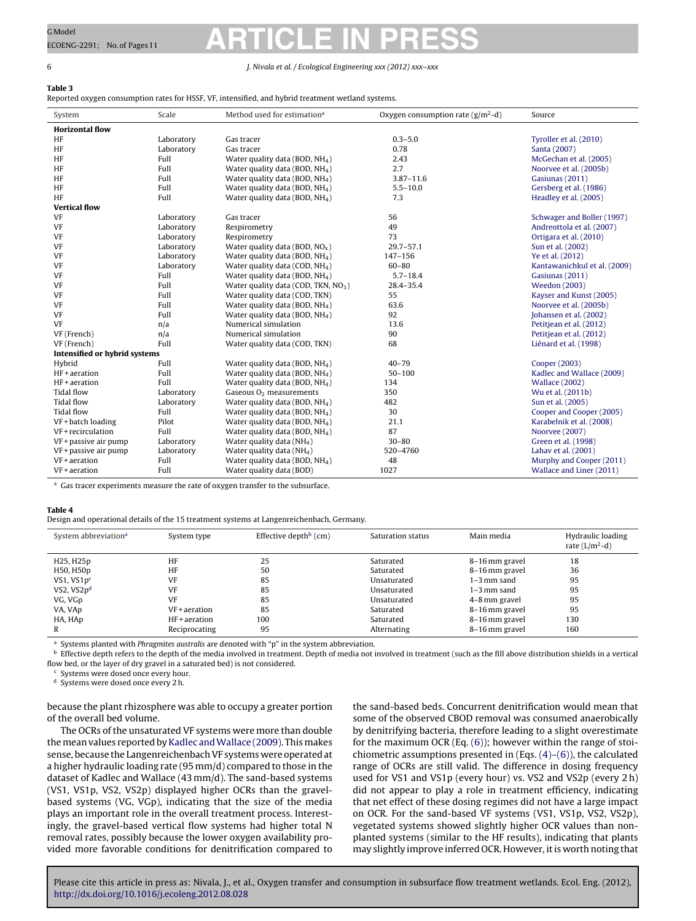### <span id="page-5-0"></span>6 J. Nivala et al. / Ecological Engineering *xxx (2012) xxx–xxx*

### **Table 3**

Reported oxygen consumption rates for HSSF, VF, intensified, and hybrid treatment wetland systems.

| System                        | Scale      | Method used for estimation <sup>a</sup>    | Oxygen consumption rate $(g/m^2-d)$ | Source                       |
|-------------------------------|------------|--------------------------------------------|-------------------------------------|------------------------------|
| <b>Horizontal flow</b>        |            |                                            |                                     |                              |
| HF                            | Laboratory | Gas tracer                                 | $0.3 - 5.0$                         | Tyroller et al. (2010)       |
| HF                            | Laboratory | Gas tracer                                 | 0.78                                | Santa (2007)                 |
| HF                            | Full       | Water quality data (BOD, NH <sub>4</sub> ) | 2.43                                | McGechan et al. (2005)       |
| HF                            | Full       | Water quality data (BOD, NH <sub>4</sub> ) | 2.7                                 | Noorvee et al. (2005b)       |
| HF                            | Full       | Water quality data (BOD, NH <sub>4</sub> ) | $3.87 - 11.6$                       | Gasiunas (2011)              |
| HF                            | Full       | Water quality data (BOD, NH <sub>4</sub> ) | $5.5 - 10.0$                        | Gersberg et al. (1986)       |
| HF                            | Full       | Water quality data (BOD, $NH4$ )           | 7.3                                 | Headley et al. (2005)        |
| <b>Vertical flow</b>          |            |                                            |                                     |                              |
| VF                            | Laboratory | Gas tracer                                 | 56                                  | Schwager and Boller (1997)   |
| VF                            | Laboratory | Respirometry                               | 49                                  | Andreottola et al. (2007)    |
| <b>VF</b>                     | Laboratory | Respirometry                               | 73                                  | Ortigara et al. (2010)       |
| <b>VF</b>                     | Laboratory | Water quality data (BOD, $NOx$ )           | $29.7 - 57.1$                       | Sun et al. (2002)            |
| <b>VF</b>                     | Laboratory | Water quality data (BOD, NH <sub>4</sub> ) | 147-156                             | Ye et al. (2012)             |
| <b>VF</b>                     | Laboratory | Water quality data (COD, NH <sub>4</sub> ) | $60 - 80$                           | Kantawanichkul et al. (2009) |
| <b>VF</b>                     | Full       | Water quality data (BOD, NH <sub>4</sub> ) | $5.7 - 18.4$                        | Gasiunas (2011)              |
| VF                            | Full       | Water quality data (COD, TKN, $NO3$ )      | 28.4-35.4                           | <b>Weedon</b> (2003)         |
| <b>VF</b>                     | Full       | Water quality data (COD, TKN)              | 55                                  | Kayser and Kunst (2005)      |
| <b>VF</b>                     | Full       | Water quality data (BOD, NH <sub>4</sub> ) | 63.6                                | Noorvee et al. (2005b)       |
| <b>VF</b>                     | Full       | Water quality data (BOD, NH <sub>4</sub> ) | 92                                  | Johansen et al. (2002)       |
| <b>VF</b>                     | n/a        | Numerical simulation                       | 13.6                                | Petitjean et al. (2012)      |
| VF (French)                   | n/a        | Numerical simulation                       | 90                                  | Petitjean et al. (2012)      |
| VF (French)                   | Full       | Water quality data (COD, TKN)              | 68                                  | Liénard et al. (1998)        |
| Intensified or hybrid systems |            |                                            |                                     |                              |
| Hybrid                        | Full       | Water quality data (BOD, $NH4$ )           | $40 - 79$                           | Cooper (2003)                |
| HF+aeration                   | Full       | Water quality data (BOD, NH <sub>4</sub> ) | $50 - 100$                          | Kadlec and Wallace (2009)    |
| HF+aeration                   | Full       | Water quality data (BOD, NH <sub>4</sub> ) | 134                                 | <b>Wallace (2002)</b>        |
| <b>Tidal flow</b>             | Laboratory | Gaseous $O2$ measurements                  | 350                                 | Wu et al. (2011b)            |
| <b>Tidal flow</b>             | Laboratory | Water quality data (BOD, NH <sub>4</sub> ) | 482                                 | Sun et al. (2005)            |
| <b>Tidal flow</b>             | Full       | Water quality data (BOD, NH <sub>4</sub> ) | 30                                  | Cooper and Cooper (2005)     |
| VF + batch loading            | Pilot      | Water quality data (BOD, NH <sub>4</sub> ) | 21.1                                | Karabelnik et al. (2008)     |
| $VF + recirculation$          | Full       | Water quality data (BOD, NH <sub>4</sub> ) | 87                                  | Noorvee (2007)               |
| VF + passive air pump         | Laboratory | Water quality data (NH <sub>4</sub> )      | $30 - 80$                           | Green et al. (1998)          |
| VF + passive air pump         | Laboratory | Water quality data (NH <sub>4</sub> )      | 520-4760                            | Lahav et al. (2001)          |
| $VF + aeration$               | Full       | Water quality data (BOD, $NH4$ )           | 48                                  | Murphy and Cooper (2011)     |
| $VF + aeration$               | Full       | Water quality data (BOD)                   | 1027                                | Wallace and Liner (2011)     |

<sup>a</sup> Gas tracer experiments measure the rate of oxygen transfer to the subsurface.

#### **Table 4**

Design and operational details of the 15 treatment systems at Langenreichenbach, Germany.

| System abbreviation <sup>a</sup> | System type     | Effective depth <sup>b</sup> (cm) | Saturation status | Main media     | Hydraulic loading<br>rate $(L/m^2-d)$ |
|----------------------------------|-----------------|-----------------------------------|-------------------|----------------|---------------------------------------|
| H25, H25p                        | HF              | 25                                | Saturated         | 8–16 mm gravel | 18                                    |
| H50, H50p                        | HF              | 50                                | Saturated         | 8-16 mm gravel | 36                                    |
| VS1, $VS1pc$                     | VF              | 85                                | Unsaturated       | $1-3$ mm sand  | 95                                    |
| VS2, $VSDd$                      | VF              | 85                                | Unsaturated       | $1-3$ mm sand  | 95                                    |
| VG, VGp                          | VF              | 85                                | Unsaturated       | 4-8 mm gravel  | 95                                    |
| VA, VAp                          | VF + aeration   | 85                                | Saturated         | 8–16 mm gravel | 95                                    |
| HA, HAp                          | $HF + aeration$ | 100                               | Saturated         | 8–16 mm gravel | 130                                   |
| R                                | Reciprocating   | 95                                | Alternating       | 8-16 mm gravel | 160                                   |

<sup>a</sup> Systems planted with Phragmites australis are denoted with "p" in the system abbreviation.

**b** Effective depth refers to the depth of the media involved in treatment. Depth of media not involved in treatment (such as the fill above distribution shields in a vertical flow bed, or the layer of dry gravel in a saturated bed) is not considered.

<sup>c</sup> Systems were dosed once every hour.

<sup>d</sup> Systems were dosed once every 2 h.

because the plant rhizosphere was able to occupy a greater portion of the overall bed volume.

The OCRs of the unsaturated VF systems were more than double the mean values reported by [Kadlec](#page-9-0) and Wallace [\(2009\).](#page-9-0) This makes sense, because the Langenreichenbach VF systems were operated at a higher hydraulic loading rate (95 mm/d) compared to those in the dataset of Kadlec and Wallace (43 mm/d). The sand-based systems (VS1, VS1p, VS2, VS2p) displayed higher OCRs than the gravelbased systems (VG, VGp), indicating that the size of the media plays an important role in the overall treatment process. Interestingly, the gravel-based vertical flow systems had higher total N removal rates, possibly because the lower oxygen availability provided more favorable conditions for denitrification compared to the sand-based beds. Concurrent denitrification would mean that some of the observed CBOD removal was consumed anaerobically by denitrifying bacteria, therefore leading to a slight overestimate for the maximum OCR (Eq. [\(6\)\);](#page-4-0) however within the range of stoichiometric assumptions presented in  $(Eqs. (4)–(6))$ , the calculated range of OCRs are still valid. The difference in dosing frequency used for VS1 and VS1p (every hour) vs. VS2 and VS2p (every 2 h) did not appear to play a role in treatment efficiency, indicating that net effect of these dosing regimes did not have a large impact on OCR. For the sand-based VF systems (VS1, VS1p, VS2, VS2p), vegetated systems showed slightly higher OCR values than nonplanted systems (similar to the HF results), indicating that plants may slightly improve inferred OCR. However, it is worth noting that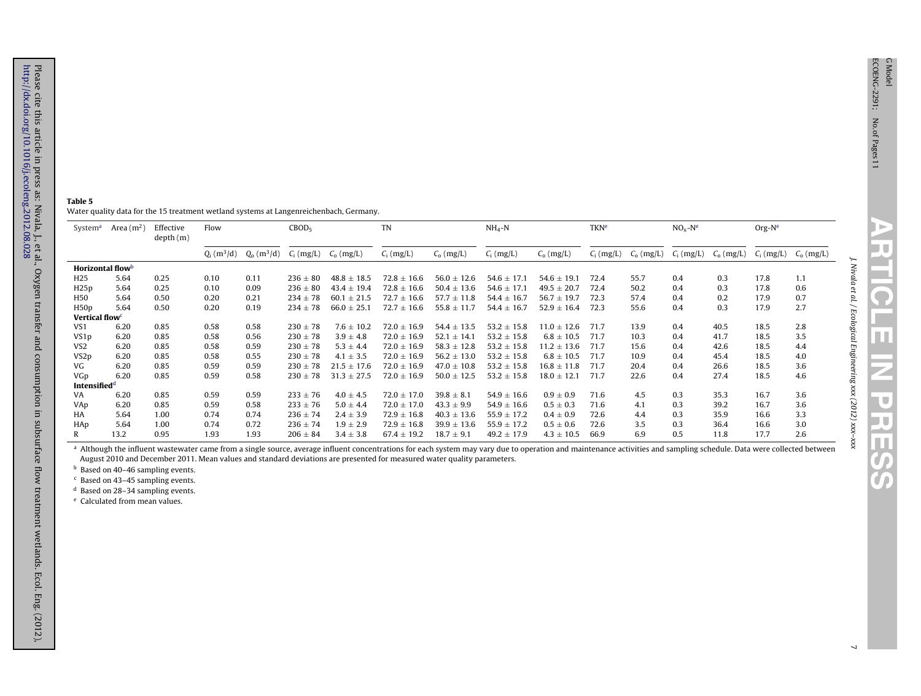J U

IU.

<u>p</u> π T

J. Nivala et al. / Ecological

Engineering

*xxx (2012) xxx–xxx*

#### **Table 5** Water quality data for the 15 treatment wetland systems at Langenreichenbach, Germany.  $\overline{\phantom{a}}$

| System <sup>a</sup>        | Area $(m2)$ | Effective<br>depth(m) | Flow         |              | CBOD <sub>5</sub> |                           | TN              |                 | $NH_4-N$        |                 | <b>TKN<sup>e</sup></b> |                | $NOx - Ne$   |                | $Org-Ne$     |              |
|----------------------------|-------------|-----------------------|--------------|--------------|-------------------|---------------------------|-----------------|-----------------|-----------------|-----------------|------------------------|----------------|--------------|----------------|--------------|--------------|
|                            |             |                       | $Q_i(m^3/d)$ | $Q_0(m^3/d)$ |                   | $C_i$ (mg/L) $C_o$ (mg/L) | $C_i$ (mg/L)    | $C_{o}$ (mg/L)  | $C_i$ (mg/L)    | $C_0$ (mg/L)    | $C_i$ (mg/L)           | $C_{o}$ (mg/L) | $C_i$ (mg/L) | $C_{o}$ (mg/L) | $C_i$ (mg/L) | $C_0$ (mg/L) |
| Horizontal flowb           |             |                       |              |              |                   |                           |                 |                 |                 |                 |                        |                |              |                |              |              |
| H <sub>25</sub>            | 5.64        | 0.25                  | 0.10         | 0.11         | $236 \pm 80$      | $48.8 \pm 18.5$           | $72.8 \pm 16.6$ | $56.0 \pm 12.6$ | $54.6 \pm 17.1$ | $54.6 \pm 19.1$ | 72.4                   | 55.7           | 0.4          | 0.3            | 17.8         | 1.1          |
| H25p                       | 5.64        | 0.25                  | 0.10         | 0.09         | $236 \pm 80$      | $43.4 \pm 19.4$           | $72.8 \pm 16.6$ | $50.4 \pm 13.6$ | $54.6 \pm 17.1$ | $49.5 \pm 20.7$ | 72.4                   | 50.2           | 0.4          | 0.3            | 17.8         | 0.6          |
| H50                        | 5.64        | 0.50                  | 0.20         | 0.21         | $234 \pm 78$      | $60.1 \pm 21.5$           | $72.7 \pm 16.6$ | $57.7 \pm 11.8$ | $54.4 \pm 16.7$ | $56.7 \pm 19.7$ | 72.3                   | 57.4           | 0.4          | 0.2            | 17.9         | 0.7          |
| H <sub>50</sub> p          | 5.64        | 0.50                  | 0.20         | 0.19         | $234 \pm 78$      | $66.0 \pm 25.1$           | $72.7 \pm 16.6$ | $55.8 \pm 11.7$ | $54.4 \pm 16.7$ | $52.9 \pm 16.4$ | 72.3                   | 55.6           | 0.4          | 0.3            | 17.9         | 2.7          |
| Vertical flow <sup>c</sup> |             |                       |              |              |                   |                           |                 |                 |                 |                 |                        |                |              |                |              |              |
| VS <sub>1</sub>            | 6.20        | 0.85                  | 0.58         | 0.58         | $230 \pm 78$      | $7.6 \pm 10.2$            | $72.0 \pm 16.9$ | $54.4 \pm 13.5$ | $53.2 \pm 15.8$ | $11.0 \pm 12.6$ | 71.7                   | 13.9           | 0.4          | 40.5           | 18.5         | 2.8          |
| VS <sub>1p</sub>           | 6.20        | 0.85                  | 0.58         | 0.56         | $230 \pm 78$      | $3.9 \pm 4.8$             | $72.0 \pm 16.9$ | $52.1 \pm 14.1$ | $53.2 \pm 15.8$ | $6.8 \pm 10.5$  | 71.7                   | 10.3           | 0.4          | 41.7           | 18.5         | 3.5          |
| VS <sub>2</sub>            | 6.20        | 0.85                  | 0.58         | 0.59         | $230 \pm 78$      | $5.3 \pm 4.4$             | $72.0 \pm 16.9$ | $58.3 \pm 12.8$ | $53.2 \pm 15.8$ | $11.2 \pm 13.6$ | 71.7                   | 15.6           | 0.4          | 42.6           | 18.5         | 4.4          |
| VS <sub>2p</sub>           | 6.20        | 0.85                  | 0.58         | 0.55         | $230 \pm 78$      | $4.1 \pm 3.5$             | $72.0 \pm 16.9$ | $56.2 \pm 13.0$ | $53.2 \pm 15.8$ | $6.8 \pm 10.5$  | 71.7                   | 10.9           | 0.4          | 45.4           | 18.5         | 4.0          |
| VG                         | 6.20        | 0.85                  | 0.59         | 0.59         | $230 \pm 78$      | $21.5 \pm 17.6$           | $72.0 \pm 16.9$ | $47.0 \pm 10.8$ | $53.2 \pm 15.8$ | $16.8 \pm 11.8$ | 71.7                   | 20.4           | 0.4          | 26.6           | 18.5         | 3.6          |
| VGp                        | 6.20        | 0.85                  | 0.59         | 0.58         | $230 \pm 78$      | $31.3 \pm 27.5$           | $72.0 \pm 16.9$ | $50.0 \pm 12.5$ | $53.2 \pm 15.8$ | $18.0 \pm 12.1$ | 71.7                   | 22.6           | 0.4          | 27.4           | 18.5         | 4.6          |
| Intensified <sup>d</sup>   |             |                       |              |              |                   |                           |                 |                 |                 |                 |                        |                |              |                |              |              |
| VA                         | 6.20        | 0.85                  | 0.59         | 0.59         | $233 \pm 76$      | $4.0 \pm 4.5$             | $72.0 \pm 17.0$ | $39.8 \pm 8.1$  | $54.9 \pm 16.6$ | $0.9 \pm 0.9$   | 71.6                   | 4.5            | 0.3          | 35.3           | 16.7         | 3.6          |
| VAp                        | 6.20        | 0.85                  | 0.59         | 0.58         | $233 \pm 76$      | $5.0 \pm 4.4$             | $72.0 \pm 17.0$ | $43.3 \pm 9.9$  | $54.9 \pm 16.6$ | $0.5 \pm 0.3$   | 71.6                   | 4.1            | 0.3          | 39.2           | 16.7         | 3.6          |
| HA                         | 5.64        | 1.00                  | 0.74         | 0.74         | $236 \pm 74$      | $2.4 \pm 3.9$             | $72.9 \pm 16.8$ | $40.3 \pm 13.6$ | $55.9 \pm 17.2$ | $0.4 \pm 0.9$   | 72.6                   | 4.4            | 0.3          | 35.9           | 16.6         | 3.3          |
| HAp                        | 5.64        | 1.00                  | 0.74         | 0.72         | $236 \pm 74$      | $1.9 \pm 2.9$             | $72.9 \pm 16.8$ | $39.9 \pm 13.6$ | $55.9 \pm 17.2$ | $0.5 \pm 0.6$   | 72.6                   | 3.5            | 0.3          | 36.4           | 16.6         | 3.0          |
| R                          | 13.2        | 0.95                  | 1.93         | 1.93         | $206 \pm 84$      | $3.4 \pm 3.8$             | $67.4 \pm 19.2$ | $18.7 \pm 9.1$  | $49.2 \pm 17.9$ | $4.3 \pm 10.5$  | 66.9                   | 6.9            | 0.5          | 11.8           | 17.7         | 2.6          |

<sup>a</sup> Although the influent wastewater came from a single source, average influent concentrations for each system may vary due to operation and maintenance activities and sampling schedule. Data were collected between August 2010 and December 2011. Mean values and standard deviations are presented for measured water quality parameters.

<sup>b</sup> Based on 40–46 sampling events.

c Based on 43–45 sampling events.

<sup>d</sup> Based on 28–34 sampling events.

e Calculated from mean values.

<span id="page-6-0"></span>Please cite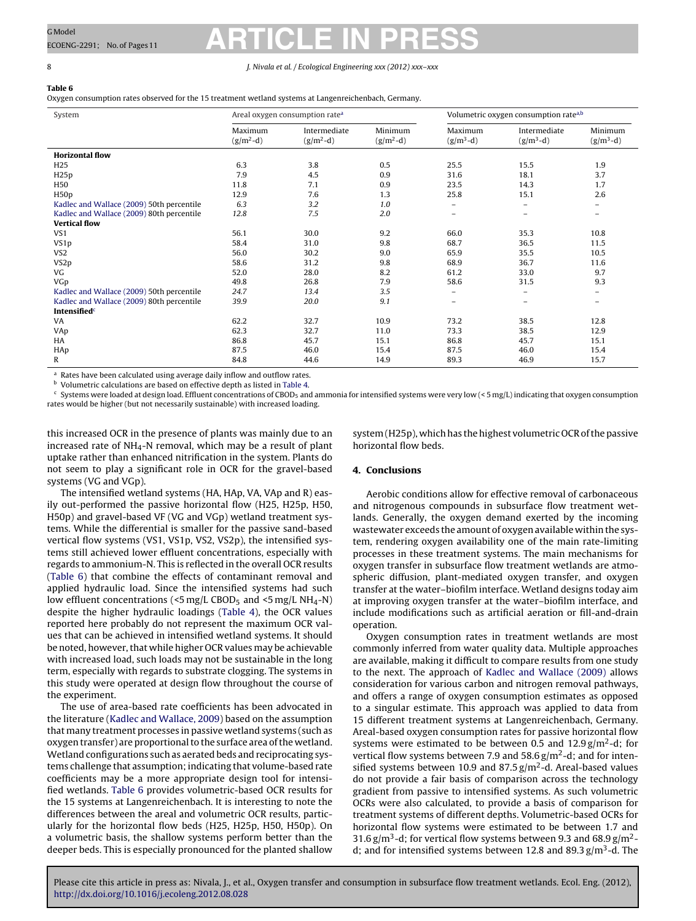### <span id="page-7-0"></span>8 J. Nivala et al. / Ecological Engineering *xxx (2012) xxx–xxx*

### **Table 6**

Oxygen consumption rates observed for the 15 treatment wetland systems at Langenreichenbach, Germany.

| System                                    |                        | Areal oxygen consumption rate <sup>a</sup> |                        |                        | Volumetric oxygen consumption rate <sup>a,b</sup> |                          |
|-------------------------------------------|------------------------|--------------------------------------------|------------------------|------------------------|---------------------------------------------------|--------------------------|
|                                           | Maximum<br>$(g/m^2-d)$ | Intermediate<br>$(g/m^2-d)$                | Minimum<br>$(g/m^2-d)$ | Maximum<br>$(g/m^3-d)$ | Intermediate<br>$(g/m^3-d)$                       | Minimum<br>$(g/m^3-d)$   |
| <b>Horizontal flow</b>                    |                        |                                            |                        |                        |                                                   |                          |
| H <sub>25</sub>                           | 6.3                    | 3.8                                        | 0.5                    | 25.5                   | 15.5                                              | 1.9                      |
| H25p                                      | 7.9                    | 4.5                                        | 0.9                    | 31.6                   | 18.1                                              | 3.7                      |
| H50                                       | 11.8                   | 7.1                                        | 0.9                    | 23.5                   | 14.3                                              | 1.7                      |
| H <sub>50</sub> p                         | 12.9                   | 7.6                                        | 1.3                    | 25.8                   | 15.1                                              | 2.6                      |
| Kadlec and Wallace (2009) 50th percentile | 6.3                    | 3.2                                        | 1.0                    | -                      | $\overline{\phantom{m}}$                          | $\overline{\phantom{m}}$ |
| Kadlec and Wallace (2009) 80th percentile | 12.8                   | 7.5                                        | 2.0                    | -                      | $\overline{\phantom{0}}$                          | $\equiv$                 |
| <b>Vertical flow</b>                      |                        |                                            |                        |                        |                                                   |                          |
| VS1                                       | 56.1                   | 30.0                                       | 9.2                    | 66.0                   | 35.3                                              | 10.8                     |
| VS <sub>1p</sub>                          | 58.4                   | 31.0                                       | 9.8                    | 68.7                   | 36.5                                              | 11.5                     |
| VS <sub>2</sub>                           | 56.0                   | 30.2                                       | 9.0                    | 65.9                   | 35.5                                              | 10.5                     |
| VS <sub>2p</sub>                          | 58.6                   | 31.2                                       | 9.8                    | 68.9                   | 36.7                                              | 11.6                     |
| VG                                        | 52.0                   | 28.0                                       | 8.2                    | 61.2                   | 33.0                                              | 9.7                      |
| VGp                                       | 49.8                   | 26.8                                       | 7.9                    | 58.6                   | 31.5                                              | 9.3                      |
| Kadlec and Wallace (2009) 50th percentile | 24.7                   | 13.4                                       | 3.5                    | -                      | $\overline{\phantom{0}}$                          | -                        |
| Kadlec and Wallace (2009) 80th percentile | 39.9                   | 20.0                                       | 9.1                    | -                      | $\overline{\phantom{0}}$                          | $\qquad \qquad -$        |
| Intensified <sup>c</sup>                  |                        |                                            |                        |                        |                                                   |                          |
| VA                                        | 62.2                   | 32.7                                       | 10.9                   | 73.2                   | 38.5                                              | 12.8                     |
| VAp                                       | 62.3                   | 32.7                                       | 11.0                   | 73.3                   | 38.5                                              | 12.9                     |
| HA                                        | 86.8                   | 45.7                                       | 15.1                   | 86.8                   | 45.7                                              | 15.1                     |
| HAp                                       | 87.5                   | 46.0                                       | 15.4                   | 87.5                   | 46.0                                              | 15.4                     |
| R                                         | 84.8                   | 44.6                                       | 14.9                   | 89.3                   | 46.9                                              | 15.7                     |

<sup>a</sup> Rates have been calculated using average daily inflow and outflow rates.

**b** Volumetric calculations are based on effective depth as listed in [Table](#page-5-0) 4.

 $c$  Systems were loaded at design load. Effluent concentrations of CBOD<sub>5</sub> and ammonia for intensified systems were very low (< 5 mg/L) indicating that oxygen consumption rates would be higher (but not necessarily sustainable) with increased loading.

this increased OCR in the presence of plants was mainly due to an increased rate of NH<sub>4</sub>-N removal, which may be a result of plant uptake rather than enhanced nitrification in the system. Plants do not seem to play a significant role in OCR for the gravel-based systems (VG and VGp).

The intensified wetland systems (HA, HAp, VA, VAp and R) easily out-performed the passive horizontal flow (H25, H25p, H50, H50p) and gravel-based VF (VG and VGp) wetland treatment systems. While the differential is smaller for the passive sand-based vertical flow systems (VS1, VS1p, VS2, VS2p), the intensified systems still achieved lower effluent concentrations, especially with regards to ammonium-N. This is reflected in the overall OCR results (Table 6) that combine the effects of contaminant removal and applied hydraulic load. Since the intensified systems had such low effluent concentrations ( $\leq$ 5 mg/L CBOD<sub>5</sub> and  $\leq$ 5 mg/L NH<sub>4</sub>-N) despite the higher hydraulic loadings ([Table](#page-5-0) 4), the OCR values reported here probably do not represent the maximum OCR values that can be achieved in intensified wetland systems. It should be noted, however, that while higher OCR values may be achievable with increased load, such loads may not be sustainable in the long term, especially with regards to substrate clogging. The systems in this study were operated at design flow throughout the course of the experiment.

The use of area-based rate coefficients has been advocated in the literature [\(Kadlec](#page-9-0) [and](#page-9-0) [Wallace,](#page-9-0) [2009\)](#page-9-0) based on the assumption that many treatment processes in passive wetland systems (such as oxygen transfer) are proportional to the surface area of the wetland. Wetland configurations such as aerated beds and reciprocating systems challenge that assumption; indicating that volume-based rate coefficients may be a more appropriate design tool for intensified wetlands. Table 6 provides volumetric-based OCR results for the 15 systems at Langenreichenbach. It is interesting to note the differences between the areal and volumetric OCR results, particularly for the horizontal flow beds (H25, H25p, H50, H50p). On a volumetric basis, the shallow systems perform better than the deeper beds. This is especially pronounced for the planted shallow system (H25p), which has the highest volumetric OCR of the passive horizontal flow beds.

### **4. Conclusions**

Aerobic conditions allow for effective removal of carbonaceous and nitrogenous compounds in subsurface flow treatment wetlands. Generally, the oxygen demand exerted by the incoming wastewater exceeds the amount of oxygen available within the system, rendering oxygen availability one of the main rate-limiting processes in these treatment systems. The main mechanisms for oxygen transfer in subsurface flow treatment wetlands are atmospheric diffusion, plant-mediated oxygen transfer, and oxygen transfer at the water–biofilm interface. Wetland designs today aim at improving oxygen transfer at the water–biofilm interface, and include modifications such as artificial aeration or fill-and-drain operation.

Oxygen consumption rates in treatment wetlands are most commonly inferred from water quality data. Multiple approaches are available, making it difficult to compare results from one study to the next. The approach of [Kadlec](#page-9-0) [and](#page-9-0) [Wallace](#page-9-0) [\(2009\)](#page-9-0) allows consideration for various carbon and nitrogen removal pathways, and offers a range of oxygen consumption estimates as opposed to a singular estimate. This approach was applied to data from 15 different treatment systems at Langenreichenbach, Germany. Areal-based oxygen consumption rates for passive horizontal flow systems were estimated to be between 0.5 and  $12.9 \text{ g/m}^2$ -d; for vertical flow systems between 7.9 and 58.6  $g/m^2$ -d; and for intensified systems between 10.9 and  $87.5 \text{ g/m}^2$ -d. Areal-based values do not provide a fair basis of comparison across the technology gradient from passive to intensified systems. As such volumetric OCRs were also calculated, to provide a basis of comparison for treatment systems of different depths. Volumetric-based OCRs for horizontal flow systems were estimated to be between 1.7 and 31.6 g/m<sup>3</sup>-d; for vertical flow systems between 9.3 and 68.9 g/m<sup>2</sup>d; and for intensified systems between 12.8 and 89.3  $g/m<sup>3</sup>$ -d. The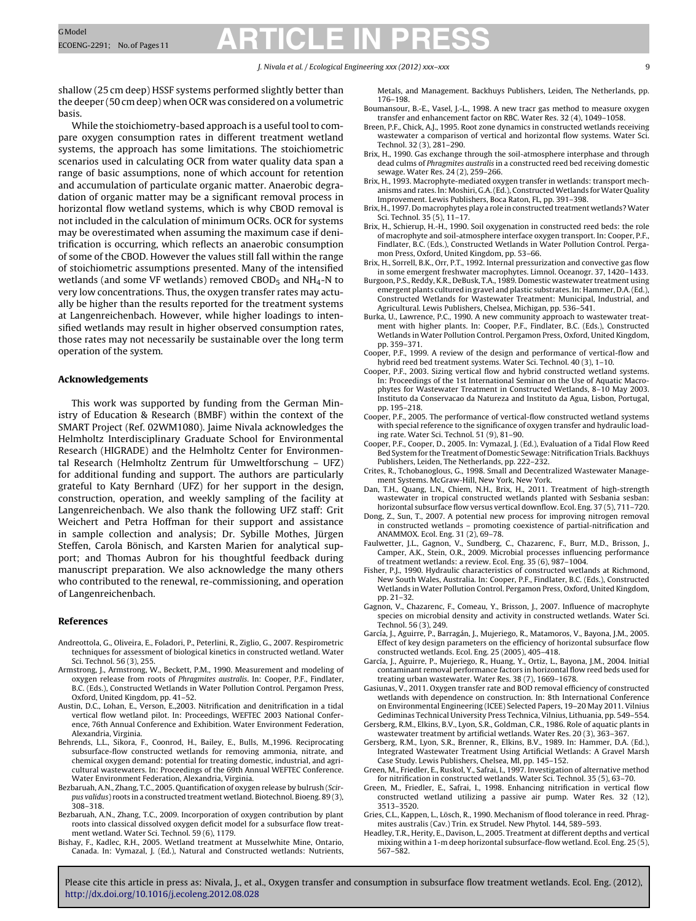### J. Nivala et al. / Ecological Engineering *xxx (2012) xxx–xxx* 9

<span id="page-8-0"></span>shallow (25 cm deep) HSSF systems performed slightly better than the deeper (50 cm deep) when OCR was considered on a volumetric basis.

While the stoichiometry-based approach is a useful tool to compare oxygen consumption rates in different treatment wetland systems, the approach has some limitations. The stoichiometric scenarios used in calculating OCR from water quality data span a range of basic assumptions, none of which account for retention and accumulation of particulate organic matter. Anaerobic degradation of organic matter may be a significant removal process in horizontal flow wetland systems, which is why CBOD removal is not included in the calculation of minimum OCRs. OCR for systems may be overestimated when assuming the maximum case if denitrification is occurring, which reflects an anaerobic consumption of some of the CBOD. However the values still fall within the range of stoichiometric assumptions presented. Many of the intensified wetlands (and some VF wetlands) removed CBOD $_5$  and NH<sub>4</sub>-N to very low concentrations. Thus, the oxygen transfer rates may actually be higher than the results reported for the treatment systems at Langenreichenbach. However, while higher loadings to intensified wetlands may result in higher observed consumption rates, those rates may not necessarily be sustainable over the long term operation of the system.

### **Acknowledgements**

This work was supported by funding from the German Ministry of Education & Research (BMBF) within the context of the SMART Project (Ref. 02WM1080). Jaime Nivala acknowledges the Helmholtz Interdisciplinary Graduate School for Environmental Research (HIGRADE) and the Helmholtz Center for Environmental Research (Helmholtz Zentrum für Umweltforschung – UFZ) for additional funding and support. The authors are particularly grateful to Katy Bernhard (UFZ) for her support in the design, construction, operation, and weekly sampling of the facility at Langenreichenbach. We also thank the following UFZ staff: Grit Weichert and Petra Hoffman for their support and assistance in sample collection and analysis; Dr. Sybille Mothes, Jürgen Steffen, Carola Bönisch, and Karsten Marien for analytical support; and Thomas Aubron for his thoughtful feedback during manuscript preparation. We also acknowledge the many others who contributed to the renewal, re-commissioning, and operation of Langenreichenbach.

#### **References**

- Andreottola, G., Oliveira, E., Foladori, P., Peterlini, R., Ziglio, G., 2007. Respirometric techniques for assessment of biological kinetics in constructed wetland. Water Sci. Technol. 56 (3), 255.
- Armstrong, J., Armstrong, W., Beckett, P.M., 1990. Measurement and modeling of oxygen release from roots of Phragmites australis. In: Cooper, P.F., Findlater, B.C. (Eds.), Constructed Wetlands in Water Pollution Control. Pergamon Press, Oxford, United Kingdom, pp. 41–52.
- Austin, D.C., Lohan, E., Verson, E.,2003. Nitrification and denitrification in a tidal vertical flow wetland pilot. In: Proceedings, WEFTEC 2003 National Conference, 76th Annual Conference and Exhibition. Water Environment Federation, Alexandria, Virginia.
- Behrends, L.L., Sikora, F., Coonrod, H., Bailey, E., Bulls, M.,1996. Reciprocating subsurface-flow constructed wetlands for removing ammonia, nitrate, and chemical oxygen demand: potential for treating domestic, industrial, and agricultural wastewaters. In: Proceedings of the 69th Annual WEFTEC Conference. Water Environment Federation, Alexandria, Virginia.
- Bezbaruah, A.N., Zhang, T.C., 2005. Quantification of oxygen release by bulrush (Scirpus validus) roots in a constructed treatment wetland. Biotechnol. Bioeng. 89 (3), 308–318.
- Bezbaruah, A.N., Zhang, T.C., 2009. Incorporation of oxygen contribution by plant roots into classical dissolved oxygen deficit model for a subsurface flow treatment wetland. Water Sci. Technol. 59 (6), 1179.
- Bishay, F., Kadlec, R.H., 2005. Wetland treatment at Musselwhite Mine, Ontario, Canada. In: Vymazal, J. (Ed.), Natural and Constructed wetlands: Nutrients,

Metals, and Management. Backhuys Publishers, Leiden, The Netherlands, pp. 176–198.

- Boumansour, B.-E., Vasel, J.-L., 1998. A new tracr gas method to measure oxygen transfer and enhancement factor on RBC. Water Res. 32 (4), 1049–1058.
- Breen, P.F., Chick, A.J., 1995. Root zone dynamics in constructed wetlands receiving wastewater a comparison of vertical and horizontal flow systems. Water Sci. Technol. 32 (3), 281–290.
- Brix, H., 1990. Gas exchange through the soil-atmosphere interphase and through dead culms of Phragmites australis in a constructed reed bed receiving domestic sewage. Water Res. 24 (2), 259–266.
- Brix, H., 1993. Macrophyte-mediated oxygen transfer in wetlands: transport mechanisms and rates. In: Moshiri, G.A. (Ed.), Constructed Wetlands for Water Quality Improvement. Lewis Publishers, Boca Raton, FL, pp. 391–398.
- Brix, H., 1997. Do macrophytes play a role in constructed treatment wetlands? Water Sci. Technol. 35 (5), 11–17.
- Brix, H., Schierup, H.-H., 1990. Soil oxygenation in constructed reed beds: the role of macrophyte and soil-atmosphere interface oxygen transport. In: Cooper, P.F., Findlater, B.C. (Eds.), Constructed Wetlands in Water Pollution Control. Pergamon Press, Oxford, United Kingdom, pp. 53–66.
- Brix, H., Sorrell, B.K., Orr, P.T., 1992. Internal pressurization and convective gas flow in some emergent freshwater macrophytes. Limnol. Oceanogr. 37, 1420–1433.
- Burgoon, P.S., Reddy, K.R., DeBusk, T.A., 1989. Domestic wastewater treatment using emergent plants cultured in gravel and plastic substrates.In: Hammer, D.A.(Ed.), Constructed Wetlands for Wastewater Treatment: Municipal, Industrial, and Agricultural. Lewis Publishers, Chelsea, Michigan, pp. 536–541.
- Burka, U., Lawrence, P.C., 1990. A new community approach to wastewater treatment with higher plants. In: Cooper, P.F., Findlater, B.C. (Eds.), Constructed Wetlands in Water Pollution Control. Pergamon Press, Oxford, United Kingdom, pp. 359–371.
- Cooper, P.F., 1999. A review of the design and performance of vertical-flow and hybrid reed bed treatment systems. Water Sci. Technol. 40 (3), 1–10.
- Cooper, P.F., 2003. Sizing vertical flow and hybrid constructed wetland systems. In: Proceedings of the 1st International Seminar on the Use of Aquatic Macrophytes for Wastewater Treatment in Constructed Wetlands, 8–10 May 2003. Instituto da Conservacao da Natureza and Instituto da Agua, Lisbon, Portugal, pp. 195–218.
- Cooper, P.F., 2005. The performance of vertical-flow constructed wetland systems with special reference to the significance of oxygen transfer and hydraulic loading rate. Water Sci. Technol. 51 (9), 81–90.
- Cooper, P.F., Cooper, D., 2005. In: Vymazal, J. (Ed.), Evaluation of a Tidal Flow Reed Bed System for the Treatment of Domestic Sewage: Nitrification Trials. Backhuys Publishers, Leiden, The Netherlands, pp. 222–232.
- Crites, R., Tchobanoglous, G., 1998. Small and Decentralized Wastewater Management Systems. McGraw-Hill, New York, New York.
- Dan, T.H., Quang, L.N., Chiem, N.H., Brix, H., 2011. Treatment of high-strength wastewater in tropical constructed wetlands planted with Sesbania sesban: horizontal subsurface flow versus vertical downflow. Ecol. Eng. 37 (5), 711–720.
- Dong, Z., Sun, T., 2007. A potential new process for improving nitrogen removal in constructed wetlands – promoting coexistence of partial-nitrification and ANAMMOX. Ecol. Eng. 31 (2), 69–78.
- Faulwetter, J.L., Gagnon, V., Sundberg, C., Chazarenc, F., Burr, M.D., Brisson, J., Camper, A.K., Stein, O.R., 2009. Microbial processes influencing performance of treatment wetlands: a review. Ecol. Eng. 35 (6), 987–1004.
- Fisher, P.J., 1990. Hydraulic characteristics of constructed wetlands at Richmond, New South Wales, Australia. In: Cooper, P.F., Findlater, B.C. (Eds.), Constructed Wetlands in Water Pollution Control. Pergamon Press, Oxford, United Kingdom, pp. 21–32.
- Gagnon, V., Chazarenc, F., Comeau, Y., Brisson, J., 2007. Influence of macrophyte species on microbial density and activity in constructed wetlands. Water Sci. Technol. 56 (3), 249.
- García, J., Aguirre, P., Barragán, J., Mujeriego, R., Matamoros, V., Bayona, J.M., 2005. Effect of key design parameters on the efficiency of horizontal subsurface flow constructed wetlands. Ecol. Eng. 25 (2005), 405–418.
- García, J., Aguirre, P., Mujeriego, R., Huang, Y., Ortiz, L., Bayona, J.M., 2004. Initial contaminant removal performance factors in horizontal flow reed beds used for treating urban wastewater. Water Res. 38 (7), 1669–1678.
- Gasiunas, V., 2011. Oxygen transfer rate and BOD removal efficiency of constructed wetlands with dependence on construction. In: 8th International Conference on Environmental Engineering (ICEE) Selected Papers, 19–20 May 2011. Vilnius Gediminas Technical University Press Technica, Vilnius, Lithuania, pp. 549–554.
- Gersberg, R.M., Elkins, B.V., Lyon, S.R., Goldman, C.R., 1986. Role of aquatic plants in wastewater treatment by artificial wetlands. Water Res. 20 (3), 363–367.
- Gersberg, R.M., Lyon, S.R., Brenner, R., Elkins, B.V., 1989. In: Hammer, D.A. (Ed.), Integrated Wastewater Treatment Using Artificial Wetlands: A Gravel Marsh Case Study. Lewis Publishers, Chelsea, MI, pp. 145–152.
- Green, M., Friedler, E., Ruskol, Y., Safrai, I., 1997. Investigation of alternative method for nitrification in constructed wetlands. Water Sci. Technol. 35 (5), 63–70.
- Green, M., Friedler, E., Safrai, I., 1998. Enhancing nitrification in vertical flow constructed wetland utilizing a passive air pump. Water Res. 32 (12), 3513–3520.
- Gries, C.L., Kappen, L., Lösch, R., 1990. Mechanism of flood tolerance in reed. Phragmites australis (Cav.) Trin. ex Strudel. New Phytol. 144, 589–593.
- Headley, T.R., Herity, E., Davison, L., 2005. Treatment at different depths and vertical mixing within a 1-m deep horizontal subsurface-flow wetland. Ecol. Eng. 25 (5), 567–582.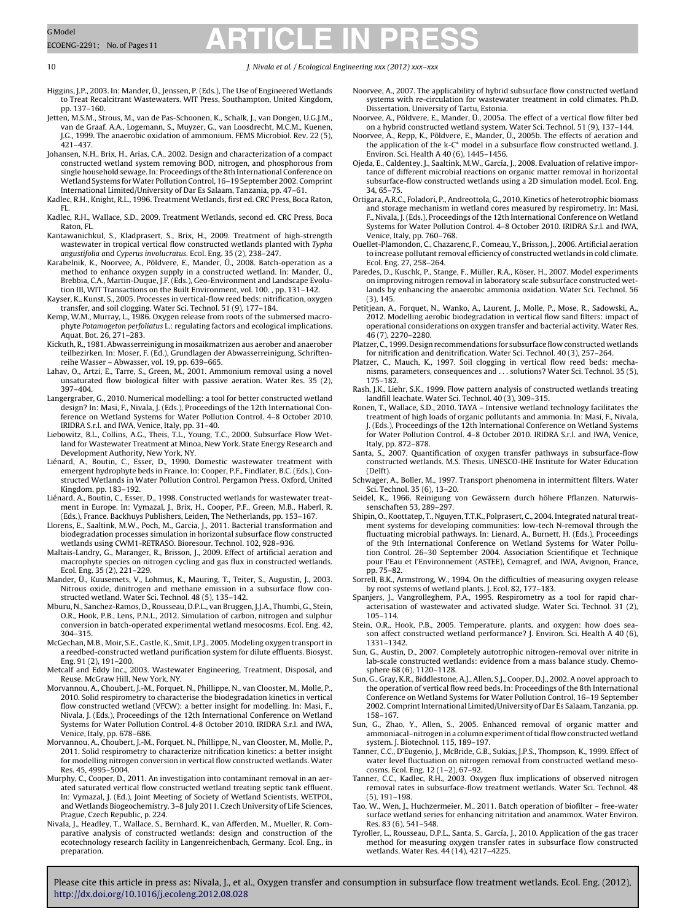#### <span id="page-9-0"></span>10 J. Nivala et al. / Ecological Engineering *xxx (2012) xxx–xxx*

- Higgins, J.P., 2003. In: Mander, Ü., Jenssen, P. (Eds.), The Use of Engineered Wetlands to Treat Recalcitrant Wastewaters. WIT Press, Southampton, United Kingdom, pp. 137–160.
- Jetten, M.S.M., Strous, M., van de Pas-Schoonen, K., Schalk, J., van Dongen, U.G.J.M., van de Graaf, A.A., Logemann, S., Muyzer, G., van Loosdrecht, M.C.M., Kuenen, J.G., 1999. The anaerobic oxidation of ammonium. FEMS Microbiol. Rev. 22 (5), 421–437.
- Johansen, N.H., Brix, H., Arias, C.A., 2002. Design and characterization of a compact constructed wetland system removing BOD, nitrogen, and phosphorous from single household sewage. In: Proceedings of the 8th International Conference on Wetland Systems for Water Pollution Control, 16-19 September 2002. Comprint International Limited/University of Dar Es Salaam, Tanzania, pp. 47–61.
- Kadlec, R.H., Knight, R.L., 1996. Treatment Wetlands, first ed. CRC Press, Boca Raton, FL.
- Kadlec, R.H., Wallace, S.D., 2009. Treatment Wetlands, second ed. CRC Press, Boca Raton, FL.
- Kantawanichkul, S., Kladprasert, S., Brix, H., 2009. Treatment of high-strength wastewater in tropical vertical flow constructed wetlands planted with Typha angustifolia and Cyperus involucratus. Ecol. Eng. 35 (2), 238–247.
- Karabelnik, K., Noorvee, A., Põldvere, E., Mander, Ü., 2008. Batch-operation as a method to enhance oxygen supply in a constructed wetland. In: Mander, Ü., Brebbia, C.A., Martin-Duque, J.F. (Eds.), Geo-Environment and Landscape Evolution III, WIT Transactions on the Built Environment, vol. 100. , pp. 131–142.
- Kayser, K., Kunst, S., 2005. Processes in vertical-flow reed beds: nitrification, oxygen transfer, and soil clogging. Water Sci. Technol. 51 (9), 177–184.
- Kemp, W.M., Murray, L., 1986. Oxygen release from roots of the submersed macrophyte Potamogeton perfoliatus L.: regulating factors and ecological implications. Aquat. Bot. 26, 271–283.
- Kickuth, R., 1981. Abwasserreinigung in mosaikmatrizen aus aerober and anaerober teilbezirken. In: Moser, F. (Ed.), Grundlagen der Abwasserreinigung, Schriftenreihe Wasser – Abwasser, vol. 19, pp. 639–665.
- Lahav, O., Artzi, E., Tarre, S., Green, M., 2001. Ammonium removal using a novel unsaturated flow biological filter with passive aeration. Water Res. 35 (2), 397–404.
- Langergraber, G., 2010. Numerical modelling: a tool for better constructed wetland design? In: Masi, F., Nivala, J. (Eds.), Proceedings of the 12th International Con-ference on Wetland Systems for Water Pollution Control. 4–8 October 2010.
- IRIDRA S.r.l. and IWA, Venice, Italy, pp. 31–40. Liebowitz, B.L., Collins, A.G., Theis, T.L., Young, T.C., 2000. Subsurface Flow Wetland for Wastewater Treatment at Minoa, New York. State Energy Research and Development Authority, New York, NY.
- Liénard, A., Boutin, C., Esser, D., 1990. Domestic wastewater treatment with emergent hydrophyte beds in France. In: Cooper, P.F., Findlater, B.C. (Eds.), Constructed Wetlands in Water Pollution Control. Pergamon Press, Oxford, United Kingdom, pp. 183–192.
- Liénard, A., Boutin, C., Esser, D., 1998. Constructed wetlands for wastewater treatment in Europe. In: Vymazal, J., Brix, H., Cooper, P.F., Green, M.B., Haberl, R. (Eds.), France. Backhuys Publishers, Leiden, The Netherlands, pp. 153–167.
- Llorens, E., Saaltink, M.W., Poch, M., Garcia, J., 2011. Bacterial transformation and biodegradation processes simulation in horizontal subsurface flow constructed wetlands using CWM1-RETRASO. Bioresour. Technol. 102, 928–936.
- Maltais-Landry, G., Maranger, R., Brisson, J., 2009. Effect of artificial aeration and macrophyte species on nitrogen cycling and gas flux in constructed wetlands. Ecol. Eng. 35 (2), 221–229.
- Mander, Ü., Kuusemets, V., Lohmus, K., Mauring, T., Teiter, S., Augustin, J., 2003. Nitrous oxide, dinitrogen and methane emission in a subsurface flow constructed wetland. Water Sci. Technol. 48 (5), 135–142.
- Mburu, N., Sanchez-Ramos, D., Rousseau, D.P.L., van Bruggen, J.J.A., Thumbi, G., Stein, O.R., Hook, P.B., Lens, P.N.L., 2012. Simulation of carbon, nitrogen and sulphur conversion in batch-operated experimental wetland mesocosms. Ecol. Eng. 42, 304–315.
- McGechan, M.B., Moir, S.E., Castle, K., Smit, I.P.J., 2005. Modeling oxygen transportin a reedbed-constructed wetland purification system for dilute effluents. Biosyst. Eng. 91 (2), 191–200.
- Metcalf and Eddy Inc., 2003. Wastewater Engineering, Treatment, Disposal, and Reuse. McGraw Hill, New York, NY.
- Morvannou, A., Choubert, J.-M., Forquet, N., Phillippe, N., van Clooster, M., Molle, P., 2010. Solid respirometry to characterise the biodegradation kinetics in vertical flow constructed wetland (VFCW): a better insight for modelling. In: Masi, F., Nivala, J. (Eds.), Proceedings of the 12th International Conference on Wetland Systems for Water Pollution Control. 4-8 October 2010. IRIDRA S.r.l. and IWA, Venice, Italy, pp. 678–686.
- Morvannou, A., Choubert, J.-M., Forquet, N., Phillippe, N., van Clooster, M., Molle, P., 2011. Solid respirometry to characterize nitrification kinetics: a better insight for modelling nitrogen conversion in vertical flow constructed wetlands. Water Res. 45, 4995–5004.
- Murphy, C., Cooper, D., 2011. An investigation into contaminant removal in an aerated saturated vertical flow constructed wetland treating septic tank effluent. In: Vymazal, J. (Ed.), Joint Meeting of Society of Wetland Scientists, WETPOL, and Wetlands Biogeochemistry. 3–8 July 2011. Czech University of Life Sciences, Prague, Czech Republic, p. 224.
- Nivala, J., Headley, T., Wallace, S., Bernhard, K., van Afferden, M., Mueller, R. Comparative analysis of constructed wetlands: design and construction of the ecotechnology research facility in Langenreichenbach, Germany. Ecol. Eng., in preparation.
- Noorvee, A., 2007. The applicability of hybrid subsurface flow constructed wetland systems with re-circulation for wastewater treatment in cold climates. Ph.D. Dissertation. University of Tartu, Estonia.
- Noorvee, A., Põldvere, E., Mander, Ü., 2005a. The effect of a vertical flow filter bed on a hybrid constructed wetland system. Water Sci. Technol. 51 (9), 137–144.
- Noorvee, A., Repp, K., Põldvere, E., Mander, Ü., 2005b. The effects of aeration and the application of the k-C\* model in a subsurface flow constructed wetland. J. Environ. Sci. Health A 40 (6), 1445–1456.
- Ojeda, E., Caldentey, J., Saaltink, M.W., García, J., 2008. Evaluation of relative importance of different microbial reactions on organic matter removal in horizontal subsurface-flow constructed wetlands using a 2D simulation model. Ecol. Eng. 34, 65–75.
- Ortigara, A.R.C., Foladori, P., Andreottola, G., 2010. Kinetics of heterotrophic biomass and storage mechanism in wetland cores measured by respirometry. In: Masi, F., Nivala, J. (Eds.), Proceedings of the 12th International Conference on Wetland Systems for Water Pollution Control. 4–8 October 2010. IRIDRA S.r.l. and IWA, Venice, Italy, pp. 760–768.
- Ouellet-Plamondon, C., Chazarenc, F., Comeau, Y., Brisson, J., 2006. Artificial aeration to increase pollutant removal efficiency of constructed wetlands in cold climate. Ecol. Eng. 27, 258–264.
- Paredes, D., Kuschk, P., Stange, F., Müller, R.A., Köser, H., 2007. Model experiments on improving nitrogen removal in laboratory scale subsurface constructed wet-lands by enhancing the anaerobic ammonia oxidation. Water Sci. Technol. 56 (3), 145.
- Petitjean, A., Forquet, N., Wanko, A., Laurent, J., Molle, P., Mose, R., Sadowski, A., 2012. Modelling aerobic biodegradation in vertical flow sand filters: impact of operational considerations on oxygen transfer and bacterial activity. Water Res. 46 (7), 2270–2280.
- Platzer, C., 1999. Design recommendations for subsurface flow constructed wetlands for nitrification and denitrification. Water Sci. Technol. 40 (3), 257–264.
- Platzer, C., Mauch, K., 1997. Soil clogging in vertical flow reed beds: mechanisms, parameters, consequences and . . . solutions? Water Sci. Technol. 35 (5), 175–182.
- Rash, J.K., Liehr, S.K., 1999. Flow pattern analysis of constructed wetlands treating landfill leachate. Water Sci. Technol. 40 (3), 309–315.
- Ronen, T., Wallace, S.D., 2010. TAYA Intensive wetland technology facilitates the treatment of high loads of organic pollutants and ammonia. In: Masi, F., Nivala, J. (Eds.), Proceedings of the 12th International Conference on Wetland Systems for Water Pollution Control. 4–8 October 2010. IRIDRA S.r.l. and IWA, Venice, Italy, pp. 872–878.
- Santa, S., 2007. Quantification of oxygen transfer pathways in subsurface-flow constructed wetlands. M.S. Thesis. UNESCO-IHE Institute for Water Education (Delft).
- Schwager, A., Boller, M., 1997. Transport phenomena in intermittent filters. Water Sci. Technol. 35 (6), 13–20.
- Seidel, K., 1966. Reinigung von Gewässern durch höhere Pflanzen. Naturwissenschaften 53, 289–297.
- Shipin, O., Koottatep, T., Nguyen, T.T.K., Polprasert, C., 2004. Integrated natural treatment systems for developing communities: low-tech N-removal through the fluctuating microbial pathways. In: Lienard, A., Burnett, H. (Eds.), Proceedings of the 9th International Conference on Wetland Systems for Water Pollution Control. 26–30 September 2004. Association Scientifique et Technique pour l'Eau et l'Environnement (ASTEE), Cemagref, and IWA, Avignon, France, pp. 75–82.
- Sorrell, B.K., Armstrong, W., 1994. On the difficulties of measuring oxygen release by root systems of wetland plants. J. Ecol. 82, 177–183.
- Spanjers, J., Vangrolleghem, P.A., 1995. Respirometry as a tool for rapid characterisation of wastewater and activated sludge. Water Sci. Technol. 31 (2), 105–114.
- Stein, O.R., Hook, P.B., 2005. Temperature, plants, and oxygen: how does season affect constructed wetland performance? J. Environ. Sci. Health A 40 (6), 1331–1342.
- Sun, G., Austin, D., 2007. Completely autotrophic nitrogen-removal over nitrite in lab-scale constructed wetlands: evidence from a mass balance study. Chemosphere 68 (6), 1120–1128.
- Sun, G., Gray, K.R., Biddlestone, A.J., Allen, S.J., Cooper, D.J., 2002. A novel approach to the operation of vertical flow reed beds. In: Proceedings of the 8th International Conference on Wetland Systems for Water Pollution Control, 16–19 September 2002. Comprint International Limited/University of Dar Es Salaam, Tanzania, pp. 158–167.
- Sun, G., Zhao, Y., Allen, S., 2005. Enhanced removal of organic matter and ammoniacal-nitrogen in a column experiment of tidal flow constructed wetland system. J. Biotechnol. 115, 189–197.
- Tanner, C.C., D'Eugenio, J., McBride, G.B., Sukias, J.P.S., Thompson, K., 1999. Effect of water level fluctuation on nitrogen removal from constructed wetland mesocosms. Ecol. Eng. 12 (1–2), 67–92.
- Tanner, C.C., Kadlec, R.H., 2003. Oxygen flux implications of observed nitrogen removal rates in subsurface-flow treatment wetlands. Water Sci. Technol. 48 (5), 191–198.
- Tao, W., Wen, J., Huchzermeier, M., 2011. Batch operation of biofilter free-water surface wetland series for enhancing nitritation and anammox. Water Environ. Res. 83 (6), 541–548.
- Tyroller, L., Rousseau, D.P.L., Santa, S., García, J., 2010. Application of the gas tracer method for measuring oxygen transfer rates in subsurface flow constructed wetlands. Water Res. 44 (14), 4217–4225.